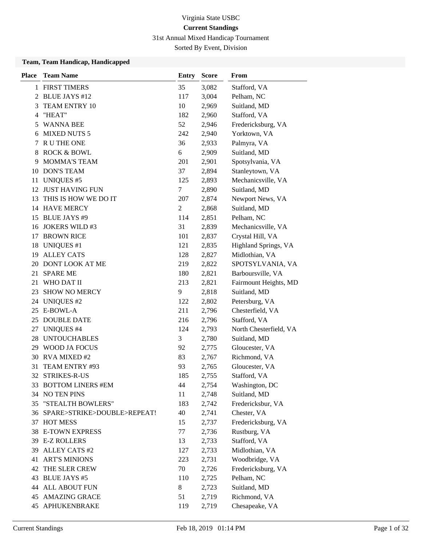31st Annual Mixed Handicap Tournament

Sorted By Event, Division

# **Team, Team Handicap, Handicapped**

| <b>Place</b> | <b>Team Name</b>               | <b>Entry</b> | <b>Score</b> | From                   |
|--------------|--------------------------------|--------------|--------------|------------------------|
| 1            | <b>FIRST TIMERS</b>            | 35           | 3,082        | Stafford, VA           |
|              | 2 BLUE JAYS #12                | 117          | 3,004        | Pelham, NC             |
| 3            | TEAM ENTRY 10                  | 10           | 2,969        | Suitland, MD           |
| 4            | "HEAT"                         | 182          | 2,960        | Stafford, VA           |
| 5            | WANNA BEE                      | 52           | 2,946        | Fredericksburg, VA     |
| 6            | <b>MIXED NUTS 5</b>            | 242          | 2,940        | Yorktown, VA           |
| 7            | R U THE ONE                    | 36           | 2,933        | Palmyra, VA            |
| 8            | <b>ROCK &amp; BOWL</b>         | 6            | 2,909        | Suitland, MD           |
| 9            | <b>MOMMA'S TEAM</b>            | 201          | 2,901        | Spotsylvania, VA       |
| 10           | <b>DON'S TEAM</b>              | 37           | 2,894        | Stanleytown, VA        |
| 11           | <b>UNIQUES #5</b>              | 125          | 2,893        | Mechanicsville, VA     |
|              | 12 JUST HAVING FUN             | 7            | 2,890        | Suitland, MD           |
| 13           | THIS IS HOW WE DO IT           | 207          | 2,874        | Newport News, VA       |
|              | 14 HAVE MERCY                  | 2            | 2,868        | Suitland, MD           |
|              | 15 BLUE JAYS #9                | 114          | 2,851        | Pelham, NC             |
|              | 16 JOKERS WILD #3              | 31           | 2,839        | Mechanicsville, VA     |
| 17           | <b>BROWN RICE</b>              | 101          | 2,837        | Crystal Hill, VA       |
| 18           | <b>UNIQUES #1</b>              | 121          | 2,835        | Highland Springs, VA   |
| 19           | <b>ALLEY CATS</b>              | 128          | 2,827        | Midlothian, VA         |
|              | 20 DONT LOOK AT ME             | 219          | 2,822        | SPOTSYLVANIA, VA       |
| 21           | <b>SPARE ME</b>                | 180          | 2,821        | Barboursville, VA      |
| 21           | WHO DAT II                     | 213          | 2,821        | Fairmount Heights, MD  |
| 23           | <b>SHOW NO MERCY</b>           | 9            | 2,818        | Suitland, MD           |
|              | 24 UNIQUES #2                  | 122          | 2,802        | Petersburg, VA         |
| 25           | E-BOWL-A                       | 211          | 2,796        | Chesterfield, VA       |
| 25           | <b>DOUBLE DATE</b>             | 216          | 2,796        | Stafford, VA           |
| 27           | <b>UNIQUES #4</b>              | 124          | 2,793        | North Chesterfield, VA |
|              | 28 UNTOUCHABLES                | 3            | 2,780        | Suitland, MD           |
|              | 29 WOOD JA FOCUS               | 92           | 2,775        | Gloucester, VA         |
|              | 30 RVA MIXED #2                | 83           | 2,767        | Richmond, VA           |
| 31           | TEAM ENTRY #93                 | 93           | 2,765        | Gloucester, VA         |
|              | 32 STRIKES-R-US                | 185          | 2,755        | Stafford, VA           |
|              | 33 BOTTOM LINERS #EM           | 44           | 2,754        | Washington, DC         |
|              | 34 NO TEN PINS                 | 11           | 2,748        | Suitland, MD           |
|              | 35 "STEALTH BOWLERS"           | 183          | 2,742        | Fredericksbur, VA      |
|              | 36 SPARE>STRIKE>DOUBLE>REPEAT! | 40           | 2,741        | Chester, VA            |
| 37           | <b>HOT MESS</b>                | 15           | 2,737        | Fredericksburg, VA     |
|              | 38 E-TOWN EXPRESS              | 77           | 2,736        | Rustburg, VA           |
|              | 39 E-Z ROLLERS                 | 13           | 2,733        | Stafford, VA           |
| 39           | <b>ALLEY CATS #2</b>           | 127          | 2,733        | Midlothian, VA         |
| 41           | <b>ART'S MINIONS</b>           | 223          | 2,731        | Woodbridge, VA         |
| 42           | THE SLER CREW                  | 70           | 2,726        | Fredericksburg, VA     |
| 43           | <b>BLUE JAYS #5</b>            | 110          | 2,725        | Pelham, NC             |
|              | <b>44 ALL ABOUT FUN</b>        | 8            | 2,723        | Suitland, MD           |
|              | <b>45 AMAZING GRACE</b>        | 51           | 2,719        | Richmond, VA           |
|              | 45 APHUKENBRAKE                | 119          | 2,719        | Chesapeake, VA         |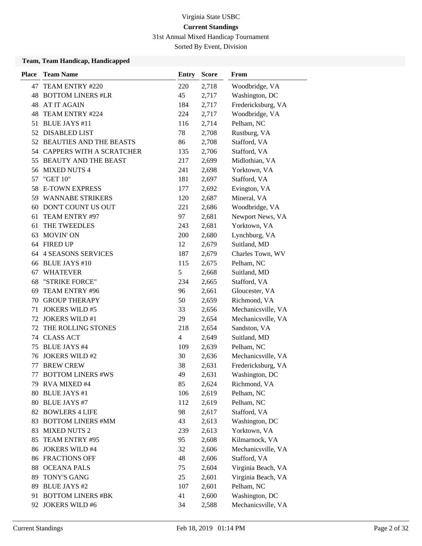31st Annual Mixed Handicap Tournament

Sorted By Event, Division

#### **Team, Team Handicap, Handicapped**

| <b>Place</b> | <b>Team Name</b>            | <b>Entry</b>   | <b>Score</b> | From               |
|--------------|-----------------------------|----------------|--------------|--------------------|
| 47           | TEAM ENTRY #220             | 220            | 2,718        | Woodbridge, VA     |
|              | <b>48 BOTTOM LINERS #LR</b> | 45             | 2,717        | Washington, DC     |
| 48           | <b>AT IT AGAIN</b>          | 184            | 2,717        | Fredericksburg, VA |
| 48           | TEAM ENTRY #224             | 224            | 2,717        | Woodbridge, VA     |
| 51           | <b>BLUE JAYS #11</b>        | 116            | 2,714        | Pelham, NC         |
| 52           | <b>DISABLED LIST</b>        | 78             | 2,708        | Rustburg, VA       |
|              | 52 BEAUTIES AND THE BEASTS  | 86             | 2,708        | Stafford, VA       |
|              | 54 CAPPERS WITH A SCRATCHER | 135            | 2,706        | Stafford, VA       |
|              | 55 BEAUTY AND THE BEAST     | 217            | 2,699        | Midlothian, VA     |
| 56           | <b>MIXED NUTS 4</b>         | 241            | 2,698        | Yorktown, VA       |
| 57           | "GET 10"                    | 181            | 2,697        | Stafford, VA       |
|              | 58 E-TOWN EXPRESS           | 177            | 2,692        | Evington, VA       |
|              | 59 WANNABE STRIKERS         | 120            | 2,687        | Mineral, VA        |
| 60           | DON'T COUNT US OUT          | 221            | 2,686        | Woodbridge, VA     |
| 61           | TEAM ENTRY #97              | 97             | 2,681        | Newport News, VA   |
| 61           | THE TWEEDLES                | 243            | 2,681        | Yorktown, VA       |
| 63           | <b>MOVIN' ON</b>            | 200            | 2,680        | Lynchburg, VA      |
|              | 64 FIRED UP                 | 12             | 2,679        | Suitland, MD       |
| 64           | <b>4 SEASONS SERVICES</b>   | 187            | 2,679        | Charles Town, WV   |
|              | 66 BLUE JAYS #10            | 115            | 2,675        | Pelham, NC         |
| 67           | WHATEVER                    | 5              | 2,668        | Suitland, MD       |
| 68           | "STRIKE FORCE"              | 234            | 2,665        | Stafford, VA       |
| 69           | TEAM ENTRY #96              | 96             | 2,661        | Gloucester, VA     |
| 70           | <b>GROUP THERAPY</b>        | 50             | 2,659        | Richmond, VA       |
| 71           | <b>JOKERS WILD #5</b>       | 33             | 2,656        | Mechanicsville, VA |
| 72           | <b>JOKERS WILD #1</b>       | 29             | 2,654        | Mechanicsville, VA |
| 72           | THE ROLLING STONES          | 218            | 2,654        | Sandston, VA       |
|              | 74 CLASS ACT                | $\overline{4}$ | 2,649        | Suitland, MD       |
| 75           | <b>BLUE JAYS #4</b>         | 109            | 2,639        | Pelham, NC         |
| 76           | <b>JOKERS WILD #2</b>       | 30             | 2,636        | Mechanicsville, VA |
| 77           | <b>BREW CREW</b>            | 38             | 2,631        | Fredericksburg, VA |
| 77           | <b>BOTTOM LINERS #WS</b>    | 49             | 2,631        | Washington, DC     |
|              | 79 RVA MIXED #4             | 85             | 2,624        | Richmond, VA       |
| 80           | <b>BLUE JAYS #1</b>         | 106            | 2,619        | Pelham, NC         |
| 80           | <b>BLUE JAYS #7</b>         | 112            | 2,619        | Pelham, NC         |
|              | 82 BOWLERS 4 LIFE           | 98             | 2,617        | Stafford, VA       |
| 83           | <b>BOTTOM LINERS #MM</b>    | 43             | 2,613        | Washington, DC     |
| 83           | <b>MIXED NUTS 2</b>         | 239            | 2,613        | Yorktown, VA       |
| 85           | TEAM ENTRY #95              | 95             | 2,608        | Kilmarnock, VA     |
| 86           | JOKERS WILD #4              | 32             | 2,606        | Mechanicsville, VA |
|              | <b>86 FRACTIONS OFF</b>     | 48             | 2,606        | Stafford, VA       |
|              | <b>88 OCEANA PALS</b>       | 75             | 2,604        | Virginia Beach, VA |
| 89           | TONY'S GANG                 | 25             | 2,601        | Virginia Beach, VA |
|              | 89 BLUE JAYS #2             | 107            | 2,601        | Pelham, NC         |
| 91           | <b>BOTTOM LINERS #BK</b>    | 41             | 2,600        | Washington, DC     |
| 92           | <b>JOKERS WILD #6</b>       | 34             | 2,588        | Mechanicsville, VA |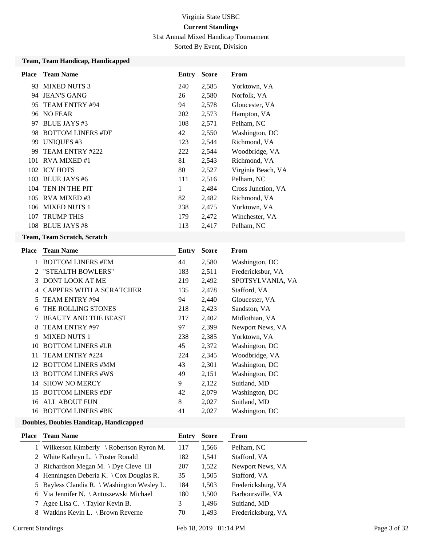31st Annual Mixed Handicap Tournament

Sorted By Event, Division

#### **Team, Team Handicap, Handicapped**

| <b>Place</b> | <b>Team Name</b>         | Entry | <b>Score</b> | From               |
|--------------|--------------------------|-------|--------------|--------------------|
| 93.          | <b>MIXED NUTS 3</b>      | 240   | 2,585        | Yorktown, VA       |
| 94           | <b>JEAN'S GANG</b>       | 26    | 2,580        | Norfolk, VA        |
| 95           | TEAM ENTRY #94           | 94    | 2,578        | Gloucester, VA     |
| 96           | <b>NO FEAR</b>           | 202   | 2,573        | Hampton, VA        |
| 97           | BLUE JAYS #3             | 108   | 2,571        | Pelham, NC         |
| 98.          | <b>BOTTOM LINERS #DF</b> | 42    | 2,550        | Washington, DC     |
| 99           | <b>UNIQUES #3</b>        | 123   | 2,544        | Richmond, VA       |
| 99           | TEAM ENTRY #222          | 222   | 2,544        | Woodbridge, VA     |
|              | 101 RVA MIXED #1         | 81    | 2,543        | Richmond, VA       |
|              | 102 ICY HOTS             | 80    | 2,527        | Virginia Beach, VA |
| 103          | <b>BLUE JAYS #6</b>      | 111   | 2,516        | Pelham, NC         |
| 104          | TEN IN THE PIT           | 1     | 2,484        | Cross Junction, VA |
| 105          | RVA MIXED#3              | 82    | 2,482        | Richmond, VA       |
| 106          | <b>MIXED NUTS 1</b>      | 238   | 2,475        | Yorktown, VA       |
| 107          | <b>TRUMP THIS</b>        | 179   | 2,472        | Winchester, VA     |
| 108          | <b>BLUE JAYS #8</b>      | 113   | 2,417        | Pelham, NC         |
|              |                          |       |              |                    |

## **Team, Team Scratch, Scratch**

| <b>Place</b> | <b>Team Name</b>                | Entry | <b>Score</b> | <b>From</b>       |
|--------------|---------------------------------|-------|--------------|-------------------|
|              | <b>BOTTOM LINERS #EM</b>        | 44    | 2,580        | Washington, DC    |
| 2            | "STEALTH BOWLERS"               | 183   | 2,511        | Fredericksbur, VA |
| 3            | <b>DONT LOOK AT ME</b>          | 219   | 2,492        | SPOTSYLVANIA, VA  |
| 4            | <b>CAPPERS WITH A SCRATCHER</b> | 135   | 2,478        | Stafford, VA      |
| 5.           | TEAM ENTRY #94                  | 94    | 2,440        | Gloucester, VA    |
| 6            | THE ROLLING STONES              | 218   | 2,423        | Sandston, VA      |
|              | <b>BEAUTY AND THE BEAST</b>     | 217   | 2,402        | Midlothian, VA    |
| 8            | TEAM ENTRY #97                  | 97    | 2,399        | Newport News, VA  |
| 9            | <b>MIXED NUTS 1</b>             | 238   | 2,385        | Yorktown, VA      |
| 10           | <b>BOTTOM LINERS #LR</b>        | 45    | 2,372        | Washington, DC    |
| 11           | TEAM ENTRY #224                 | 224   | 2,345        | Woodbridge, VA    |
| 12           | <b>BOTTOM LINERS #MM</b>        | 43    | 2,301        | Washington, DC    |
| 13           | <b>BOTTOM LINERS #WS</b>        | 49    | 2,151        | Washington, DC    |
| 14           | <b>SHOW NO MERCY</b>            | 9     | 2,122        | Suitland, MD      |
| 15           | <b>BOTTOM LINERS #DF</b>        | 42    | 2,079        | Washington, DC    |
| 16           | ALL ABOUT FUN                   | 8     | 2,027        | Suitland, MD      |
| 16           | <b>BOTTOM LINERS #BK</b>        | 41    | 2,027        | Washington, DC    |

| Place | <b>Team Name</b>                            | Entry | <b>Score</b> | From               |
|-------|---------------------------------------------|-------|--------------|--------------------|
|       | 1 Wilkerson Kimberly \ Robertson Ryron M.   | 117   | 1,566        | Pelham, NC         |
|       | 2 White Kathryn L. \ Foster Ronald          | 182   | 1,541        | Stafford, VA       |
|       | 3 Richardson Megan M. \Dye Cleve III        | 207   | 1,522        | Newport News, VA   |
|       | 4 Henningsen Deberia K. \ Cox Douglas R.    | 35    | 1,505        | Stafford, VA       |
|       | 5 Bayless Claudia R. \ Washington Wesley L. | 184   | 1,503        | Fredericksburg, VA |
|       | 6 Via Jennifer N. \ Antoszewski Michael     | 180   | 1,500        | Barboursville, VA  |
|       | 7 Agee Lisa C. $\forall$ Taylor Kevin B.    | 3     | 1,496        | Suitland, MD       |
|       | 8 Watkins Kevin L. \ Brown Reverne          | 70    | 1.493        | Fredericksburg, VA |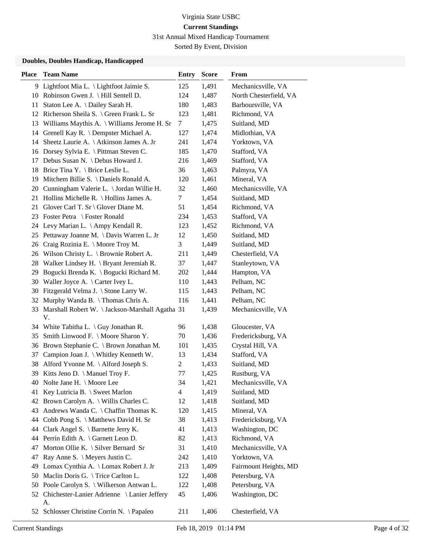31st Annual Mixed Handicap Tournament

Sorted By Event, Division

| Place | <b>Team Name</b>                                      | <b>Entry</b> | <b>Score</b> | From                   |
|-------|-------------------------------------------------------|--------------|--------------|------------------------|
|       | 9 Lightfoot Mia L. \ Lightfoot Jaimie S.              | 125          | 1,491        | Mechanicsville, VA     |
|       | 10 Robinson Gwen J. \ Hill Sentell D.                 | 124          | 1,487        | North Chesterfield, VA |
| 11    | Staton Lee A. \ Dailey Sarah H.                       | 180          | 1,483        | Barboursville, VA      |
|       | 12 Richerson Sheila S. \ Green Frank L. Sr            | 123          | 1,481        | Richmond, VA           |
|       | 13 Williams Maythis A. \ Williams Jerome H. Sr        | 7            | 1,475        | Suitland, MD           |
|       | 14 Grenell Kay R. \ Dempster Michael A.               | 127          | 1,474        | Midlothian, VA         |
| 14    | Sheetz Laurie A. \ Atkinson James A. Jr               | 241          | 1,474        | Yorktown, VA           |
|       | 16 Dorsey Sylvia E. \ Pittman Steven C.               | 185          | 1,470        | Stafford, VA           |
| 17    | Debus Susan N. \ Debus Howard J.                      | 216          | 1,469        | Stafford, VA           |
|       | 18 Brice Tina Y. \ Brice Leslie L.                    | 36           | 1,463        | Palmyra, VA            |
|       | 19 Mitchem Billie S. \ Daniels Ronald A.              | 120          | 1,461        | Mineral, VA            |
|       | 20 Cunningham Valerie L. \ Jordan Willie H.           | 32           | 1,460        | Mechanicsville, VA     |
|       | 21 Hollins Michelle R. \ Hollins James A.             | 7            | 1,454        | Suitland, MD           |
| 21.   | Glover Carl T. Sr \ Glover Diane M.                   | 51           | 1,454        | Richmond, VA           |
|       | 23 Foster Petra \ Foster Ronald                       | 234          | 1,453        | Stafford, VA           |
|       | 24 Levy Marian L. \Ampy Kendall R.                    | 123          | 1,452        | Richmond, VA           |
|       | 25 Pettaway Joanne M. \ Davis Warren L. Jr            | 12           | 1,450        | Suitland, MD           |
| 26    | Craig Rozinia E. \ Moore Troy M.                      | 3            | 1,449        | Suitland, MD           |
|       | 26 Wilson Christy L. \ Brownie Robert A.              | 211          | 1,449        | Chesterfield, VA       |
|       | 28 Walker Lindsey H. \ Bryant Jeremiah R.             | 37           | 1,447        | Stanleytown, VA        |
| 29.   | Bogucki Brenda K. \ Bogucki Richard M.                | 202          | 1,444        | Hampton, VA            |
|       | 30 Waller Joyce A. \ Carter Ivey L.                   | 110          | 1,443        | Pelham, NC             |
|       | 30 Fitzgerald Velma J. \ Stone Larry W.               | 115          | 1,443        | Pelham, NC             |
|       | 32 Murphy Wanda B. \ Thomas Chris A.                  | 116          | 1,441        | Pelham, NC             |
| 33    | Marshall Robert W. \ Jackson-Marshall Agatha 31<br>V. |              | 1,439        | Mechanicsville, VA     |
|       | 34 White Tabitha L. \ Guy Jonathan R.                 | 96           | 1,438        | Gloucester, VA         |
| 35    | Smith Linwood F. \ Moore Sharon Y.                    | 70           | 1,436        | Fredericksburg, VA     |
|       | 36 Brown Stephanie C. \ Brown Jonathan M.             | 101          | 1,435        | Crystal Hill, VA       |
| 37    | Campion Joan J. \ Whitley Kenneth W.                  | 13           | 1,434        | Stafford, VA           |
| 38    | Alford Yvonne M. \Alford Joseph S.                    | 2            | 1,433        | Suitland, MD           |
| 39    | Kitts Jeno D. \ Manuel Troy F.                        | 77           | 1,425        | Rustburg, VA           |
|       | 40 Nolte Jane H. \ Moore Lee                          | 34           | 1,421        | Mechanicsville, VA     |
| 41    | Key Lutricia B. \ Sweet Marlon                        | 4            | 1,419        | Suitland, MD           |
| 42    | Brown Carolyn A. \ Willis Charles C.                  | 12           | 1,418        | Suitland, MD           |
| 43    | Andrews Wanda C. \ Chaffin Thomas K.                  | 120          | 1,415        | Mineral, VA            |
|       | 44 Cobb Pong S. \ Matthews David H. Sr                | 38           | 1,413        | Fredericksburg, VA     |
|       | 44 Clark Angel S. \ Barnette Jerry K.                 | 41           | 1,413        | Washington, DC         |
|       | 44 Perrin Edith A. \ Garnett Leon D.                  | 82           | 1,413        | Richmond, VA           |
| 47    | Morton Ollie K. $\setminus$ Silver Bernard Sr         | 31           | 1,410        | Mechanicsville, VA     |
| 47    | Ray Anne S. \ Meyers Justin C.                        | 242          | 1,410        | Yorktown, VA           |
| 49    | Lomax Cynthia A. \ Lomax Robert J. Jr                 | 213          | 1,409        | Fairmount Heights, MD  |
| 50    | Maclin Doris G. \Trice Carlton L.                     | 122          | 1,408        | Petersburg, VA         |
| 50    | Poole Carolyn S. \ Wilkerson Antwan L.                | 122          | 1,408        | Petersburg, VA         |
|       | 52 Chichester-Lanier Adrienne \ Lanier Jeffery<br>A.  | 45           | 1,406        | Washington, DC         |
| 52    | Schlosser Christine Corrin N. \Papaleo                | 211          | 1,406        | Chesterfield, VA       |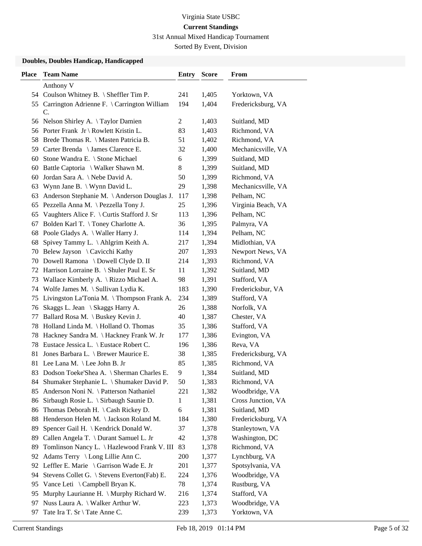31st Annual Mixed Handicap Tournament

Sorted By Event, Division

| <b>Place</b> | <b>Team Name</b>                                     | Entry | <b>Score</b> | From               |
|--------------|------------------------------------------------------|-------|--------------|--------------------|
|              | Anthony V                                            |       |              |                    |
|              | 54 Coulson Whitney B. \ Sheffler Tim P.              | 241   | 1,405        | Yorktown, VA       |
|              | 55 Carrington Adrienne F. \ Carrington William<br>C. | 194   | 1,404        | Fredericksburg, VA |
| 56           | Nelson Shirley A. \Taylor Damien                     | 2     | 1,403        | Suitland, MD       |
|              | 56 Porter Frank Jr \ Rowlett Kristin L.              | 83    | 1,403        | Richmond, VA       |
| 58           | Brede Thomas R. \ Masten Patricia B.                 | 51    | 1,402        | Richmond, VA       |
|              | 59 Carter Brenda \ James Clarence E.                 | 32    | 1,400        | Mechanicsville, VA |
| 60           | Stone Wandra E. \ Stone Michael                      | 6     | 1,399        | Suitland, MD       |
| 60           | Battle Captoria \ Walker Shawn M.                    | 8     | 1,399        | Suitland, MD       |
| 60           | Jordan Sara A. \ Nebe David A.                       | 50    | 1,399        | Richmond, VA       |
| 63           | Wynn Jane B. \ Wynn David L.                         | 29    | 1,398        | Mechanicsville, VA |
| 63           | Anderson Stephanie M. \ Anderson Douglas J.          | 117   | 1,398        | Pelham, NC         |
| 65           | Pezzella Anna M. \ Pezzella Tony J.                  | 25    | 1,396        | Virginia Beach, VA |
| 65           | Vaughters Alice F. \ Curtis Stafford J. Sr           | 113   | 1,396        | Pelham, NC         |
| 67           | Bolden Karl T. \Toney Charlotte A.                   | 36    | 1,395        | Palmyra, VA        |
| 68           | Poole Gladys A. \ Waller Harry J.                    | 114   | 1,394        | Pelham, NC         |
| 68           | Spivey Tammy L. \Ahlgrim Keith A.                    | 217   | 1,394        | Midlothian, VA     |
| 70           | Belew Jayson \ Cavicchi Kathy                        | 207   | 1,393        | Newport News, VA   |
| 70           | Dowell Ramona \ Dowell Clyde D. II                   | 214   | 1,393        | Richmond, VA       |
| 72           | Harrison Lorraine B. \ Shuler Paul E. Sr             | 11    | 1,392        | Suitland, MD       |
| 73           | Wallace Kimberly A. \ Rizzo Michael A.               | 98    | 1,391        | Stafford, VA       |
| 74           | Wolfe James M. \ Sullivan Lydia K.                   | 183   | 1,390        | Fredericksbur, VA  |
| 75           | Livingston La'Tonia M. \Thompson Frank A.            | 234   | 1,389        | Stafford, VA       |
| 76           | Skaggs L. Jean \ Skaggs Harry A.                     | 26    | 1,388        | Norfolk, VA        |
| 77           | Ballard Rosa M. \ Buskey Kevin J.                    | 40    | 1,387        | Chester, VA        |
| 78           | Holland Linda M. \ Holland O. Thomas                 | 35    | 1,386        | Stafford, VA       |
| 78           | Hackney Sandra M. \Hackney Frank W. Jr               | 177   | 1,386        | Evington, VA       |
| 78           | Eustace Jessica L. \ Eustace Robert C.               | 196   | 1,386        | Reva, VA           |
| 81           | Jones Barbara L. \ Brewer Maurice E.                 | 38    | 1,385        | Fredericksburg, VA |
| 81           | Lee Lana M. \Lee John B. Jr                          | 85    | 1,385        | Richmond, VA       |
| 83           | Dodson Toeke'Shea A. \ Sherman Charles E.            | 9     | 1,384        | Suitland, MD       |
| 84           | Shumaker Stephanie L. \ Shumaker David P.            | 50    | 1,383        | Richmond, VA       |
| 85           | Anderson Noni N. \ Patterson Nathaniel               | 221   | 1,382        | Woodbridge, VA     |
| 86           | Sirbaugh Rosie L. \ Sirbaugh Saunie D.               | 1     | 1,381        | Cross Junction, VA |
| 86           | Thomas Deborah H. \ Cash Rickey D.                   | 6     | 1,381        | Suitland, MD       |
| 88           | Henderson Helen M. \Jackson Roland M.                | 184   | 1,380        | Fredericksburg, VA |
| 89           | Spencer Gail H. \ Kendrick Donald W.                 | 37    | 1,378        | Stanleytown, VA    |
| 89           | Callen Angela T. \ Durant Samuel L. Jr               | 42    | 1,378        | Washington, DC     |
| 89           | Tomlinson Nancy L. \ Hazlewood Frank V. III          | 83    | 1,378        | Richmond, VA       |
| 92           | Adams Terry \ Long Lillie Ann C.                     | 200   | 1,377        | Lynchburg, VA      |
| 92           | Leffler E. Marie \ Garrison Wade E. Jr               | 201   | 1,377        | Spotsylvania, VA   |
| 94           | Stevens Collet G. \ Stevens Everton(Fab) E.          | 224   | 1,376        | Woodbridge, VA     |
| 95           | Vance Leti $\setminus$ Campbell Bryan K.             | 78    | 1,374        | Rustburg, VA       |
| 95           | Murphy Laurianne H. \ Murphy Richard W.              | 216   | 1,374        | Stafford, VA       |
| 97           | Nuss Laura A. \ Walker Arthur W.                     | 223   | 1,373        | Woodbridge, VA     |
| 97           | Tate Ira T. Sr \ Tate Anne C.                        | 239   | 1,373        | Yorktown, VA       |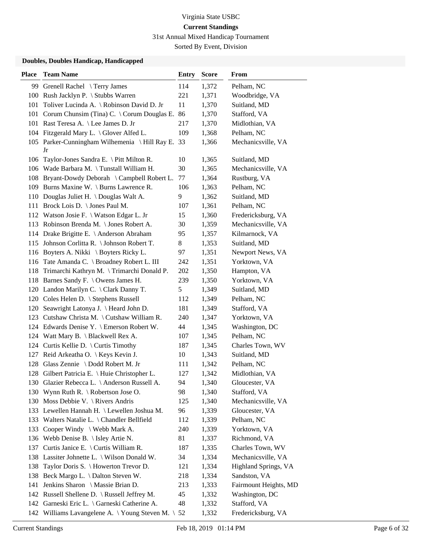31st Annual Mixed Handicap Tournament

Sorted By Event, Division

| <b>Place</b> | <b>Team Name</b>                                     | <b>Entry</b> | <b>Score</b> | From                  |
|--------------|------------------------------------------------------|--------------|--------------|-----------------------|
|              | 99 Grenell Rachel \Terry James                       | 114          | 1,372        | Pelham, NC            |
|              | 100 Rush Jacklyn P. \ Stubbs Warren                  | 221          | 1,371        | Woodbridge, VA        |
| 101          | Toliver Lucinda A. \ Robinson David D. Jr            | 11           | 1,370        | Suitland, MD          |
|              | 101 Corum Chunsim (Tina) C. \ Corum Douglas E.       | 86           | 1,370        | Stafford, VA          |
|              | 101 Rast Teresa A. \ Lee James D. Jr                 | 217          | 1,370        | Midlothian, VA        |
|              | 104 Fitzgerald Mary L. \ Glover Alfed L.             | 109          | 1,368        | Pelham, NC            |
|              | 105 Parker-Cunningham Wilhemenia \ Hill Ray E.<br>Jr | 33           | 1,366        | Mechanicsville, VA    |
|              | 106 Taylor-Jones Sandra E. \ Pitt Milton R.          | 10           | 1,365        | Suitland, MD          |
|              | 106 Wade Barbara M. \Tunstall William H.             | 30           | 1,365        | Mechanicsville, VA    |
|              | 108 Bryant-Dowdy Deborah \ Campbell Robert L.        | 77           | 1,364        | Rustburg, VA          |
|              | 109 Burns Maxine W. \ Burns Lawrence R.              | 106          | 1,363        | Pelham, NC            |
|              | 110 Douglas Juliet H. \Douglas Walt A.               | 9            | 1,362        | Suitland, MD          |
| 111          | Brock Lois D. $\setminus$ Jones Paul M.              | 107          | 1,361        | Pelham, NC            |
|              | 112 Watson Josie F. \ Watson Edgar L. Jr             | 15           | 1,360        | Fredericksburg, VA    |
|              | 113 Robinson Brenda M. \ Jones Robert A.             | 30           | 1,359        | Mechanicsville, VA    |
|              | 114 Drake Brigitte E. \ Anderson Abraham             | 95           | 1,357        | Kilmarnock, VA        |
|              | 115 Johnson Corlitta R. \ Johnson Robert T.          | 8            | 1,353        | Suitland, MD          |
|              | 116 Boyters A. Nikki \ Boyters Ricky L.              | 97           | 1,351        | Newport News, VA      |
|              | 116 Tate Amanda C. \ Broadney Robert L. III          | 242          | 1,351        | Yorktown, VA          |
|              | 118 Trimarchi Kathryn M. \Trimarchi Donald P.        | 202          | 1,350        | Hampton, VA           |
|              | 118 Barnes Sandy F. \ Owens James H.                 | 239          | 1,350        | Yorktown, VA          |
|              | 120 Landon Marilyn C. \ Clark Danny T.               | 5            | 1,349        | Suitland, MD          |
|              | 120 Coles Helen D. \ Stephens Russell                | 112          | 1,349        | Pelham, NC            |
|              | 120 Seawright Latonya J. \ Heard John D.             | 181          | 1,349        | Stafford, VA          |
|              | 123 Cutshaw Christa M. \ Cutshaw William R.          | 240          | 1,347        | Yorktown, VA          |
|              | 124 Edwards Denise Y. \ Emerson Robert W.            | 44           | 1,345        | Washington, DC        |
|              | 124 Watt Mary B. \ Blackwell Rex A.                  | 107          | 1,345        | Pelham, NC            |
|              | 124 Curtis Kellie D. \ Curtis Timothy                | 187          | 1,345        | Charles Town, WV      |
| 127          | Reid Arkeatha O. \ Keys Kevin J.                     | 10           | 1,343        | Suitland, MD          |
|              | 128 Glass Zennie \ Dodd Robert M. Jr                 | 111          | 1,342        | Pelham, NC            |
|              | 128 Gilbert Patricia E. \ Huie Christopher L.        | 127          | 1,342        | Midlothian, VA        |
|              | 130 Glazier Rebecca L. \ Anderson Russell A.         | 94           | 1,340        | Gloucester, VA        |
|              | 130 Wynn Ruth R. \ Robertson Jose O.                 | 98           | 1,340        | Stafford, VA          |
|              | 130 Moss Debbie V. \ Rivers Andris                   | 125          | 1,340        | Mechanicsville, VA    |
|              | 133 Lewellen Hannah H. \ Lewellen Joshua M.          | 96           | 1,339        | Gloucester, VA        |
|              | 133 Walters Natalie L. \ Chandler Bellfield          | 112          | 1,339        | Pelham, NC            |
| 133          | Cooper Windy \ Webb Mark A.                          | 240          | 1,339        | Yorktown, VA          |
| 136          | Webb Denise B. \ Isley Artie N.                      | 81           | 1,337        | Richmond, VA          |
| 137          | Curtis Janice E. \ Curtis William R.                 | 187          | 1,335        | Charles Town, WV      |
|              | 138 Lassiter Johnette L. \ Wilson Donald W.          | 34           | 1,334        | Mechanicsville, VA    |
| 138          | Taylor Doris S. \ Howerton Trevor D.                 | 121          | 1,334        | Highland Springs, VA  |
| 138          | Beck Margo L. \ Dalton Steven W.                     | 218          | 1,334        | Sandston, VA          |
| 141          | Jenkins Sharon \ Massie Brian D.                     | 213          | 1,333        | Fairmount Heights, MD |
|              | 142 Russell Shellene D. \ Russell Jeffrey M.         | 45           | 1,332        | Washington, DC        |
|              | 142 Garneski Eric L. \ Garneski Catherine A.         | 48           | 1,332        | Stafford, VA          |
|              | 142 Williams Lavangelene A. \Young Steven M. \       | 52           | 1,332        | Fredericksburg, VA    |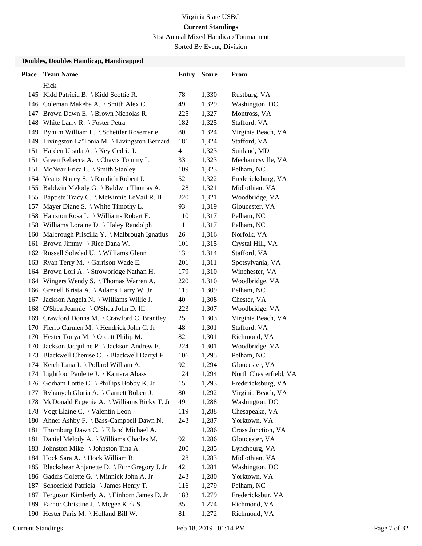31st Annual Mixed Handicap Tournament

Sorted By Event, Division

| <b>Place</b> | <b>Team Name</b>                                | Entry | <b>Score</b> | From                   |
|--------------|-------------------------------------------------|-------|--------------|------------------------|
|              | Hick                                            |       |              |                        |
|              | 145 Kidd Patricia B.   Kidd Scottie R.          | 78    | 1,330        | Rustburg, VA           |
|              | 146 Coleman Makeba A. \ Smith Alex C.           | 49    | 1,329        | Washington, DC         |
|              | 147 Brown Dawn E. \ Brown Nicholas R.           | 225   | 1,327        | Montross, VA           |
| 148          | White Larry R. $\setminus$ Foster Petra         | 182   | 1,325        | Stafford, VA           |
| 149          | Bynum William L. \ Schettler Rosemarie          | 80    | 1,324        | Virginia Beach, VA     |
|              | 149 Livingston La'Tonia M. \ Livingston Bernard | 181   | 1,324        | Stafford, VA           |
| 151          | Harden Ursula A.   Key Cedric I.                | 4     | 1,323        | Suitland, MD           |
|              | 151 Green Rebecca A. \ Chavis Tommy L.          | 33    | 1,323        | Mechanicsville, VA     |
| 151          | McNear Erica L. \ Smith Stanley                 | 109   | 1,323        | Pelham, NC             |
|              | 154 Yeatts Nancy S. \ Randich Robert J.         | 52    | 1,322        | Fredericksburg, VA     |
|              | 155 Baldwin Melody G. \ Baldwin Thomas A.       | 128   | 1,321        | Midlothian, VA         |
| 155          | Baptiste Tracy C. \ McKinnie LeVail R. II       | 220   | 1,321        | Woodbridge, VA         |
| 157          | Mayer Diane S. \ White Timothy L.               | 93    | 1,319        | Gloucester, VA         |
|              | 158 Hairston Rosa L. \ Williams Robert E.       | 110   | 1,317        | Pelham, NC             |
|              | 158 Williams Loraine D. \ Haley Randolph        | 111   | 1,317        | Pelham, NC             |
|              | 160 Malbrough Priscilla Y. \ Malbrough Ignatius | 26    | 1,316        | Norfolk, VA            |
| 161          | Brown Jimmy \ Rice Dana W.                      | 101   | 1,315        | Crystal Hill, VA       |
|              | 162 Russell Soledad U. \ Williams Glenn         | 13    | 1,314        | Stafford, VA           |
|              | 163 Ryan Terry M. \ Garrison Wade E.            | 201   | 1,311        | Spotsylvania, VA       |
|              | 164 Brown Lori A. \ Strowbridge Nathan H.       | 179   | 1,310        | Winchester, VA         |
| 164          | Wingers Wendy S. \Thomas Warren A.              | 220   | 1,310        | Woodbridge, VA         |
|              | 166 Grenell Krista A. \Adams Harry W. Jr        | 115   | 1,309        | Pelham, NC             |
| 167          | Jackson Angela N. \ Williams Willie J.          | 40    | 1,308        | Chester, VA            |
|              | 168 O'Shea Jeannie \ O'Shea John D. III         | 223   | 1,307        | Woodbridge, VA         |
|              | 169 Crawford Donna M. \ Crawford C. Brantley    | 25    | 1,303        | Virginia Beach, VA     |
|              | 170 Fierro Carmen M. \Hendrick John C. Jr       | 48    | 1,301        | Stafford, VA           |
|              | 170 Hester Tonya M. \ Orcutt Philip M.          | 82    | 1,301        | Richmond, VA           |
| 170          | Jackson Jacquline P. \ Jackson Andrew E.        | 224   | 1,301        | Woodbridge, VA         |
| 173          | Blackwell Chenise C. \ Blackwell Darryl F.      | 106   | 1,295        | Pelham, NC             |
|              | 174 Ketch Lana J. \ Pollard William A.          | 92    | 1,294        | Gloucester, VA         |
|              | 174 Lightfoot Paulette J. \ Kamara Abass        | 124   | 1,294        | North Chesterfield, VA |
|              | 176 Gorham Lottie C. \ Phillips Bobby K. Jr     | 15    | 1,293        | Fredericksburg, VA     |
| 177          | Ryhanych Gloria A. \ Garnett Robert J.          | 80    | 1,292        | Virginia Beach, VA     |
| 178          | McDonald Eugenia A. \ Williams Ricky T. Jr      | 49    | 1,288        | Washington, DC         |
| 178          | Vogt Elaine C. \ Valentin Leon                  | 119   | 1,288        | Chesapeake, VA         |
| 180          | Ahner Ashby F. \ Bass-Campbell Dawn N.          | 243   | 1,287        | Yorktown, VA           |
| 181          | Thornburg Dawn C. \ Eiland Michael A.           | 1     | 1,286        | Cross Junction, VA     |
| 181          | Daniel Melody A. \ Williams Charles M.          | 92    | 1,286        | Gloucester, VA         |
| 183          | Johnston Mike \ Johnston Tina A.                | 200   | 1,285        | Lynchburg, VA          |
| 184          | Hock Sara A.   Hock William R.                  | 128   | 1,283        | Midlothian, VA         |
| 185          | Blackshear Anjanette D. \ Furr Gregory J. Jr    | 42    | 1,281        | Washington, DC         |
|              | 186 Gaddis Colette G. \ Minnick John A. Jr      | 243   | 1,280        | Yorktown, VA           |
| 187          | Schoefield Patricia \ James Henry T.            | 116   | 1,279        | Pelham, NC             |
| 187          | Ferguson Kimberly A. \ Einhorn James D. Jr      | 183   | 1,279        | Fredericksbur, VA      |
| 189          | Farnor Christine J. \ Mcgee Kirk S.             | 85    | 1,274        | Richmond, VA           |
|              | 190 Hester Paris M. \Holland Bill W.            | 81    | 1,272        | Richmond, VA           |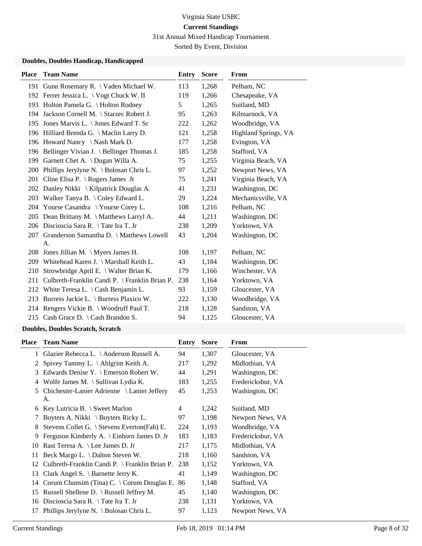31st Annual Mixed Handicap Tournament

Sorted By Event, Division

#### **Doubles, Doubles Handicap, Handicapped**

| <b>Place</b> | <b>Team Name</b>                               | <b>Entry</b> | <b>Score</b> | <b>From</b>          |
|--------------|------------------------------------------------|--------------|--------------|----------------------|
|              | 191 Gunn Rosemary R. \ Vaden Michael W.        | 113          | 1,268        | Pelham, NC           |
|              | 192 Ferrer Jessica L. \ Vogt Chuck W. II       | 119          | 1,266        | Chesapeake, VA       |
|              | 193 Holton Pamela G. \ Holton Rodney           | 5            | 1,265        | Suitland, MD         |
|              | 194 Jackson Cornell M. \ Starzec Robert J.     | 95           | 1,263        | Kilmarnock, VA       |
| 195          | Jones Marvis L. \ Jones Edward T. Sr           | 222          | 1,262        | Woodbridge, VA       |
|              | 196 Hilliard Brenda G. \ Maclin Larry D.       | 121          | 1,258        | Highland Springs, VA |
|              | 196 Howard Nancy \ Nash Mark D.                | 177          | 1,258        | Evington, VA         |
| 196          | Bellinger Vivian J. \ Bellinger Thomas J.      | 185          | 1,258        | Stafford, VA         |
| 199          | Garnett Chet A. \ Dugan Willa A.               | 75           | 1,255        | Virginia Beach, VA   |
| <b>200</b>   | Phillips Jerylyne N. \ Bolosan Chris L.        | 97           | 1,252        | Newport News, VA     |
| 201          | Cline Elisa P. $\setminus$ Rogers James Jr     | 75           | 1,241        | Virginia Beach, VA   |
| 202          | Danley Nikki \ Kilpatrick Douglas A.           | 41           | 1,231        | Washington, DC       |
| 203          | Walker Tanya B. \ Coley Edward L.              | 29           | 1,224        | Mechanicsville, VA   |
| 204          | Yourse Casandra \ Yourse Corey L.              | 108          | 1,216        | Pelham, NC           |
| 205          | Dean Brittany M. \ Matthews Larryl A.          | 44           | 1,211        | Washington, DC       |
|              | 206 Discioscia Sara R. \Tate Ira T. Jr         | 238          | 1,209        | Yorktown, VA         |
| 207          | Granderson Samantha D. \ Matthews Lowell       | 43           | 1,204        | Washington, DC       |
|              | А.                                             |              |              |                      |
| 208          | Jones Jillian M. $\setminus$ Myers James H.    | 108          | 1,197        | Pelham, NC           |
| 209          | Whitehead Karen J. \ Marshall Keith L.         | 43           | 1,184        | Washington, DC       |
| 210          | Strowbridge April E. \ Walter Brian K.         | 179          | 1,166        | Winchester, VA       |
| 211          | Culbreth-Franklin Candi P. \ Franklin Brian P. | 238          | 1,164        | Yorktown, VA         |
|              | 212 White Teresa L. \ Cash Benjamin L.         | 93           | 1,159        | Gloucester, VA       |
| 213          | Burress Jackie L. \ Burress Plaxico W.         | 222          | 1,130        | Woodbridge, VA       |
|              | 214 Rengers Vickie B. \ Woodruff Paul T.       | 218          | 1,128        | Sandston, VA         |
|              | 215 Cash Grace D. \ Cash Brandon S.            | 94           | 1,125        | Gloucester, VA       |
|              |                                                |              |              |                      |

### **Doubles, Doubles Scratch, Scratch**

| Place | <b>Team Name</b>                                      | Entry | <b>Score</b> | From              |
|-------|-------------------------------------------------------|-------|--------------|-------------------|
|       | 1 Glazier Rebecca L. \Anderson Russell A.             | 94    | 1,307        | Gloucester, VA    |
| 2     | Spivey Tammy L. \ Ahlgrim Keith A.                    | 217   | 1,292        | Midlothian, VA    |
| 3     | Edwards Denise Y. $\mathcal{F}$ Emerson Robert W.     | 44    | 1,291        | Washington, DC    |
| 4     | Wolfe James M. $\setminus$ Sullivan Lydia K.          | 183   | 1,255        | Fredericksbur, VA |
| 5     | Chichester-Lanier Adrienne \ Lanier Jeffery           | 45    | 1,253        | Washington, DC    |
|       | А.                                                    |       |              |                   |
| 6     | Key Lutricia B. $\setminus$ Sweet Marlon              | 4     | 1,242        | Suitland, MD      |
| 7     | Boyters A. Nikki \ Boyters Ricky L.                   | 97    | 1,198        | Newport News, VA  |
| 8     | Stevens Collet G. $\setminus$ Stevens Everton(Fab) E. | 224   | 1,193        | Woodbridge, VA    |
| 9     | Ferguson Kimberly A. \ Einhorn James D. Jr            | 183   | 1,183        | Fredericksbur, VA |
| 10    | Rast Teresa A. \ Lee James D. Jr                      | 217   | 1,175        | Midlothian, VA    |
| 11    | Beck Margo L. \ Dalton Steven W.                      | 218   | 1,160        | Sandston, VA      |
| 12    | Culbreth-Franklin Candi P. $\Gamma$ Franklin Brian P. | 238   | 1,152        | Yorktown, VA      |
| 13    | Clark Angel S. $\setminus$ Barnette Jerry K.          | 41    | 1,149        | Washington, DC    |
| 14    | Corum Chunsim (Tina) C. $\setminus$ Corum Douglas E.  | 86    | 1,148        | Stafford, VA      |
| 15    | Russell Shellene D. $\setminus$ Russell Jeffrey M.    | 45    | 1,140        | Washington, DC    |
| 16    | Discioscia Sara R. \ Tate Ira T. Jr                   | 238   | 1,131        | Yorktown, VA      |
| 17    | Phillips Jerylyne N. \ Bolosan Chris L.               | 97    | 1,123        | Newport News, VA  |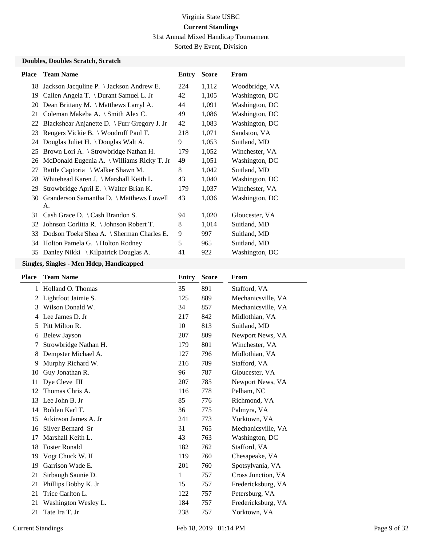31st Annual Mixed Handicap Tournament

Sorted By Event, Division

#### **Doubles, Doubles Scratch, Scratch**

| <b>Place</b> | <b>Team Name</b>                                   | Entry | <b>Score</b> | From           |
|--------------|----------------------------------------------------|-------|--------------|----------------|
|              | 18 Jackson Jacquine P. \ Jackson Andrew E.         | 224   | 1,112        | Woodbridge, VA |
| 19           | Callen Angela T. \ Durant Samuel L. Jr             | 42    | 1,105        | Washington, DC |
| 20           | Dean Brittany M. $\hat{\}$ Matthews Larryl A.      | 44    | 1,091        | Washington, DC |
| 21           | Coleman Makeba A. \ Smith Alex C.                  | 49    | 1,086        | Washington, DC |
| 22           | Blackshear Anjanette D. \ Furr Gregory J. Jr       | 42    | 1,083        | Washington, DC |
| 23           | Rengers Vickie B. \ Woodruff Paul T.               | 218   | 1,071        | Sandston, VA   |
| 24           | Douglas Juliet H. $\Omega$ Douglas Walt A.         | 9     | 1,053        | Suitland, MD   |
| 25           | Brown Lori A. \ Strowbridge Nathan H.              | 179   | 1,052        | Winchester, VA |
| 26           | McDonald Eugenia A. $\forall$ Williams Ricky T. Jr | 49    | 1,051        | Washington, DC |
| 27           | Battle Captoria \ Walker Shawn M.                  | 8     | 1,042        | Suitland, MD   |
| 28           | Whitehead Karen J. \ Marshall Keith L.             | 43    | 1,040        | Washington, DC |
| 29           | Strowbridge April E. \ Walter Brian K.             | 179   | 1,037        | Winchester, VA |
| 30           | Granderson Samantha D. \ Matthews Lowell<br>A.     | 43    | 1,036        | Washington, DC |
| 31           | Cash Grace D. $\setminus$ Cash Brandon S.          | 94    | 1,020        | Gloucester, VA |
| 32           | Johnson Corlitta R. \ Johnson Robert T.            | 8     | 1,014        | Suitland, MD   |
| 33           | Dodson Toeke'Shea A. \ Sherman Charles E.          | 9     | 997          | Suitland, MD   |
| 34           | Holton Pamela G. \ Holton Rodney                   | 5     | 965          | Suitland, MD   |
| 35           | Danley Nikki $\setminus$ Kilpatrick Douglas A.     | 41    | 922          | Washington, DC |

| Place | <b>Team Name</b>      | Entry        | <b>Score</b> | From               |
|-------|-----------------------|--------------|--------------|--------------------|
| 1     | Holland O. Thomas     | 35           | 891          | Stafford, VA       |
| 2     | Lightfoot Jaimie S.   | 125          | 889          | Mechanicsville, VA |
| 3     | Wilson Donald W.      | 34           | 857          | Mechanicsville, VA |
| 4     | Lee James D. Jr       | 217          | 842          | Midlothian, VA     |
| 5     | Pitt Milton R.        | 10           | 813          | Suitland, MD       |
| 6     | <b>Belew Jayson</b>   | 207          | 809          | Newport News, VA   |
| 7     | Strowbridge Nathan H. | 179          | 801          | Winchester, VA     |
| 8     | Dempster Michael A.   | 127          | 796          | Midlothian, VA     |
| 9     | Murphy Richard W.     | 216          | 789          | Stafford, VA       |
| 10    | Guy Jonathan R.       | 96           | 787          | Gloucester, VA     |
| 11    | Dye Cleve III         | 207          | 785          | Newport News, VA   |
| 12    | Thomas Chris A.       | 116          | 778          | Pelham, NC         |
| 13    | Lee John B. Jr        | 85           | 776          | Richmond, VA       |
| 14    | Bolden Karl T.        | 36           | 775          | Palmyra, VA        |
| 15    | Atkinson James A. Jr  | 241          | 773          | Yorktown, VA       |
| 16    | Silver Bernard Sr     | 31           | 765          | Mechanicsville, VA |
| 17    | Marshall Keith L.     | 43           | 763          | Washington, DC     |
| 18    | <b>Foster Ronald</b>  | 182          | 762          | Stafford, VA       |
| 19    | Vogt Chuck W. II      | 119          | 760          | Chesapeake, VA     |
| 19    | Garrison Wade E.      | 201          | 760          | Spotsylvania, VA   |
| 21    | Sirbaugh Saunie D.    | $\mathbf{1}$ | 757          | Cross Junction, VA |
| 21    | Phillips Bobby K. Jr  | 15           | 757          | Fredericksburg, VA |
| 21    | Trice Carlton L.      | 122          | 757          | Petersburg, VA     |
| 21    | Washington Wesley L.  | 184          | 757          | Fredericksburg, VA |
| 21    | Tate Ira T. Jr        | 238          | 757          | Yorktown, VA       |
|       |                       |              |              |                    |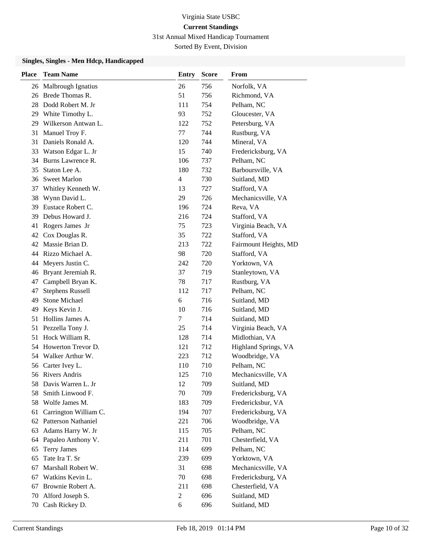31st Annual Mixed Handicap Tournament

Sorted By Event, Division

| <b>Place</b> | <b>Team Name</b>        | <b>Entry</b>   | <b>Score</b> | From                  |
|--------------|-------------------------|----------------|--------------|-----------------------|
|              | 26 Malbrough Ignatius   | 26             | 756          | Norfolk, VA           |
|              | 26 Brede Thomas R.      | 51             | 756          | Richmond, VA          |
| 28.          | Dodd Robert M. Jr       | 111            | 754          | Pelham, NC            |
|              | 29 White Timothy L.     | 93             | 752          | Gloucester, VA        |
| 29           | Wilkerson Antwan L.     | 122            | 752          | Petersburg, VA        |
| 31           | Manuel Troy F.          | 77             | 744          | Rustburg, VA          |
| 31           | Daniels Ronald A.       | 120            | 744          | Mineral, VA           |
| 33           | Watson Edgar L. Jr      | 15             | 740          | Fredericksburg, VA    |
| 34           | Burns Lawrence R.       | 106            | 737          | Pelham, NC            |
| 35           | Staton Lee A.           | 180            | 732          | Barboursville, VA     |
| 36           | <b>Sweet Marlon</b>     | 4              | 730          | Suitland, MD          |
| 37           | Whitley Kenneth W.      | 13             | 727          | Stafford, VA          |
| 38           | Wynn David L.           | 29             | 726          | Mechanicsville, VA    |
| 39.          | Eustace Robert C.       | 196            | 724          | Reva, VA              |
| 39           | Debus Howard J.         | 216            | 724          | Stafford, VA          |
| 41           | Rogers James Jr         | 75             | 723          | Virginia Beach, VA    |
| 42           | Cox Douglas R.          | 35             | 722          | Stafford, VA          |
|              | 42 Massie Brian D.      | 213            | 722          | Fairmount Heights, MD |
|              | 44 Rizzo Michael A.     | 98             | 720          | Stafford, VA          |
| 44           | Meyers Justin C.        | 242            | 720          | Yorktown, VA          |
| 46           | Bryant Jeremiah R.      | 37             | 719          | Stanleytown, VA       |
| 47           | Campbell Bryan K.       | 78             | 717          | Rustburg, VA          |
| 47           | <b>Stephens Russell</b> | 112            | 717          | Pelham, NC            |
| 49           | <b>Stone Michael</b>    | 6              | 716          | Suitland, MD          |
| 49           | Keys Kevin J.           | 10             | 716          | Suitland, MD          |
| 51           | Hollins James A.        | 7              | 714          | Suitland, MD          |
| 51           | Pezzella Tony J.        | 25             | 714          | Virginia Beach, VA    |
| 51           | Hock William R.         | 128            | 714          | Midlothian, VA        |
| 54           | Howerton Trevor D.      | 121            | 712          | Highland Springs, VA  |
|              | 54 Walker Arthur W.     | 223            | 712          | Woodbridge, VA        |
| 56           | Carter Ivey L.          | 110            | 710          | Pelham, NC            |
|              | 56 Rivers Andris        | 125            | 710          | Mechanicsville, VA    |
| 58.          | Davis Warren L. Jr      | 12             | 709          | Suitland, MD          |
| 58           | Smith Linwood F.        | 70             | 709          | Fredericksburg, VA    |
| 58           | Wolfe James M.          | 183            | 709          | Fredericksbur, VA     |
| 61           | Carrington William C.   | 194            | 707          | Fredericksburg, VA    |
|              | 62 Patterson Nathaniel  | 221            | 706          | Woodbridge, VA        |
| 63           | Adams Harry W. Jr       | 115            | 705          | Pelham, NC            |
| 64           | Papaleo Anthony V.      | 211            | 701          | Chesterfield, VA      |
| 65           | <b>Terry James</b>      | 114            | 699          | Pelham, NC            |
| 65           | Tate Ira T. Sr          | 239            | 699          | Yorktown, VA          |
| 67           | Marshall Robert W.      | 31             | 698          | Mechanicsville, VA    |
| 67           | Watkins Kevin L.        | 70             | 698          | Fredericksburg, VA    |
| 67           | Brownie Robert A.       | 211            | 698          | Chesterfield, VA      |
| 70           | Alford Joseph S.        | $\overline{2}$ | 696          | Suitland, MD          |
| 70           | Cash Rickey D.          | 6              | 696          | Suitland, MD          |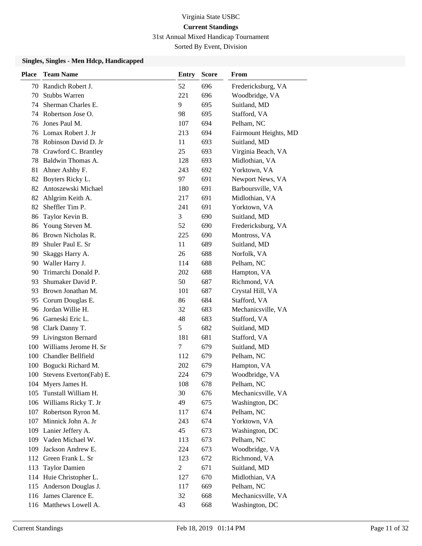31st Annual Mixed Handicap Tournament

Sorted By Event, Division

| <b>Place</b> | <b>Team Name</b>          | Entry          | <b>Score</b> | From                  |
|--------------|---------------------------|----------------|--------------|-----------------------|
| 70           | Randich Robert J.         | 52             | 696          | Fredericksburg, VA    |
| 70           | <b>Stubbs Warren</b>      | 221            | 696          | Woodbridge, VA        |
| 74           | Sherman Charles E.        | 9              | 695          | Suitland, MD          |
| 74           | Robertson Jose O.         | 98             | 695          | Stafford, VA          |
| 76           | Jones Paul M.             | 107            | 694          | Pelham, NC            |
| 76           | Lomax Robert J. Jr        | 213            | 694          | Fairmount Heights, MD |
| 78           | Robinson David D. Jr      | 11             | 693          | Suitland, MD          |
| 78           | Crawford C. Brantley      | 25             | 693          | Virginia Beach, VA    |
| 78           | Baldwin Thomas A.         | 128            | 693          | Midlothian, VA        |
| 81           | Ahner Ashby F.            | 243            | 692          | Yorktown, VA          |
| 82           | Boyters Ricky L.          | 97             | 691          | Newport News, VA      |
| 82           | Antoszewski Michael       | 180            | 691          | Barboursville, VA     |
| 82           | Ahlgrim Keith A.          | 217            | 691          | Midlothian, VA        |
| 82           | Sheffler Tim P.           | 241            | 691          | Yorktown, VA          |
| 86           | Taylor Kevin B.           | 3              | 690          | Suitland, MD          |
| 86           | Young Steven M.           | 52             | 690          | Fredericksburg, VA    |
| 86           | Brown Nicholas R.         | 225            | 690          | Montross, VA          |
| 89           | Shuler Paul E. Sr         | 11             | 689          | Suitland, MD          |
| 90           | Skaggs Harry A.           | 26             | 688          | Norfolk, VA           |
| 90           | Waller Harry J.           | 114            | 688          | Pelham, NC            |
| 90           | Trimarchi Donald P.       | 202            | 688          | Hampton, VA           |
| 93           | Shumaker David P.         | 50             | 687          | Richmond, VA          |
| 93.          | Brown Jonathan M.         | 101            | 687          | Crystal Hill, VA      |
| 95           | Corum Douglas E.          | 86             | 684          | Stafford, VA          |
| 96           | Jordan Willie H.          | 32             | 683          | Mechanicsville, VA    |
| 96           | Garneski Eric L.          | 48             | 683          | Stafford, VA          |
| 98           | Clark Danny T.            | 5              | 682          | Suitland, MD          |
| 99           | <b>Livingston Bernard</b> | 181            | 681          | Stafford, VA          |
| 100          | Williams Jerome H. Sr     | 7              | 679          | Suitland, MD          |
| 100          | <b>Chandler Bellfield</b> | 112            | 679          | Pelham, NC            |
| 100          | Bogucki Richard M.        | 202            | 679          | Hampton, VA           |
| 100          | Stevens Everton(Fab) E.   | 224            | 679          | Woodbridge, VA        |
|              | 104 Myers James H.        | 108            | 678          | Pelham, NC            |
| 105          | Tunstall William H.       | 30             | 676          | Mechanicsville, VA    |
| 106          | Williams Ricky T. Jr      | 49             | 675          | Washington, DC        |
|              | 107 Robertson Ryron M.    | 117            | 674          | Pelham, NC            |
| 107          | Minnick John A. Jr        | 243            | 674          | Yorktown, VA          |
| 109          | Lanier Jeffery A.         | 45             | 673          | Washington, DC        |
| 109          | Vaden Michael W.          | 113            | 673          | Pelham, NC            |
| 109          | Jackson Andrew E.         | 224            | 673          | Woodbridge, VA        |
| 112          | Green Frank L. Sr         | 123            | 672          | Richmond, VA          |
| 113          | <b>Taylor Damien</b>      | $\overline{c}$ | 671          | Suitland, MD          |
|              | 114 Huie Christopher L.   | 127            | 670          | Midlothian, VA        |
| 115          | Anderson Douglas J.       | 117            | 669          | Pelham, NC            |
| 116          | James Clarence E.         | 32             | 668          | Mechanicsville, VA    |
|              | 116 Matthews Lowell A.    | 43             | 668          | Washington, DC        |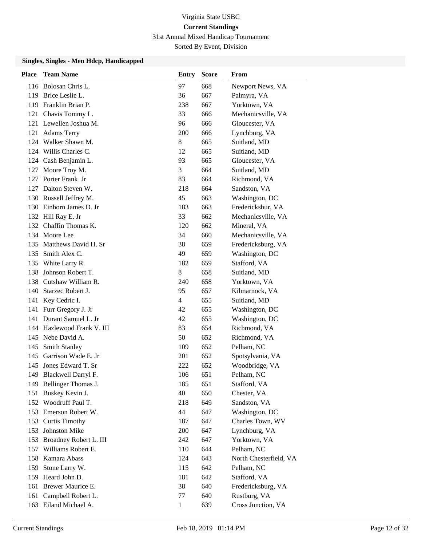31st Annual Mixed Handicap Tournament

Sorted By Event, Division

| Place | <b>Team Name</b>           | Entry          | <b>Score</b> | From                   |
|-------|----------------------------|----------------|--------------|------------------------|
|       | 116 Bolosan Chris L.       | 97             | 668          | Newport News, VA       |
|       | 119 Brice Leslie L.        | 36             | 667          | Palmyra, VA            |
|       | 119 Franklin Brian P.      | 238            | 667          | Yorktown, VA           |
|       | 121 Chavis Tommy L.        | 33             | 666          | Mechanicsville, VA     |
|       | 121 Lewellen Joshua M.     | 96             | 666          | Gloucester, VA         |
|       | 121 Adams Terry            | 200            | 666          | Lynchburg, VA          |
|       | 124 Walker Shawn M.        | 8              | 665          | Suitland, MD           |
|       | 124 Willis Charles C.      | 12             | 665          | Suitland, MD           |
|       | 124 Cash Benjamin L.       | 93             | 665          | Gloucester, VA         |
| 127   | Moore Troy M.              | 3              | 664          | Suitland, MD           |
|       | 127 Porter Frank Jr        | 83             | 664          | Richmond, VA           |
|       | 127 Dalton Steven W.       | 218            | 664          | Sandston, VA           |
|       | 130 Russell Jeffrey M.     | 45             | 663          | Washington, DC         |
|       | 130 Einhorn James D. Jr    | 183            | 663          | Fredericksbur, VA      |
|       | 132 Hill Ray E. Jr         | 33             | 662          | Mechanicsville, VA     |
|       | 132 Chaffin Thomas K.      | 120            | 662          | Mineral, VA            |
|       | 134 Moore Lee              | 34             | 660          | Mechanicsville, VA     |
|       | 135 Matthews David H. Sr   | 38             | 659          | Fredericksburg, VA     |
|       | 135 Smith Alex C.          | 49             | 659          | Washington, DC         |
|       | 135 White Larry R.         | 182            | 659          | Stafford, VA           |
| 138   | Johnson Robert T.          | 8              | 658          | Suitland, MD           |
|       | 138 Cutshaw William R.     | 240            | 658          | Yorktown, VA           |
|       | 140 Starzec Robert J.      | 95             | 657          | Kilmarnock, VA         |
|       | 141 Key Cedric I.          | $\overline{4}$ | 655          | Suitland, MD           |
|       | 141 Furr Gregory J. Jr     | 42             | 655          | Washington, DC         |
| 141   | Durant Samuel L. Jr        | 42             | 655          | Washington, DC         |
|       | 144 Hazlewood Frank V. III | 83             | 654          | Richmond, VA           |
|       | 145 Nebe David A.          | 50             | 652          | Richmond, VA           |
| 145   | <b>Smith Stanley</b>       | 109            | 652          | Pelham, NC             |
| 145   | Garrison Wade E. Jr        | 201            | 652          | Spotsylvania, VA       |
|       | 145 Jones Edward T. Sr     | 222            | 652          | Woodbridge, VA         |
| 149   | Blackwell Darryl F.        | 106            | 651          | Pelham, NC             |
|       | 149 Bellinger Thomas J.    | 185            | 651          | Stafford, VA           |
| 151   | Buskey Kevin J.            | 40             | 650          | Chester, VA            |
|       | 152 Woodruff Paul T.       | 218            | 649          | Sandston, VA           |
|       | 153 Emerson Robert W.      | 44             | 647          | Washington, DC         |
|       | 153 Curtis Timothy         | 187            | 647          | Charles Town, WV       |
| 153   | <b>Johnston Mike</b>       | 200            | 647          | Lynchburg, VA          |
|       | 153 Broadney Robert L. III | 242            | 647          | Yorktown, VA           |
| 157   | Williams Robert E.         | 110            | 644          | Pelham, NC             |
|       | 158 Kamara Abass           | 124            | 643          | North Chesterfield, VA |
| 159   | Stone Larry W.             | 115            | 642          | Pelham, NC             |
|       | 159 Heard John D.          | 181            | 642          | Stafford, VA           |
| 161   | Brewer Maurice E.          | 38             | 640          | Fredericksburg, VA     |
| 161   | Campbell Robert L.         | 77             | 640          | Rustburg, VA           |
|       | 163 Eiland Michael A.      | $\mathbf{1}$   | 639          | Cross Junction, VA     |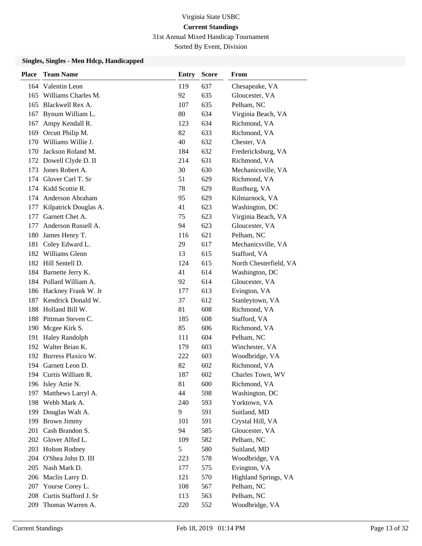31st Annual Mixed Handicap Tournament

Sorted By Event, Division

| <b>Place</b> | <b>Team Name</b>        | <b>Entry</b> | <b>Score</b> | <b>From</b>            |
|--------------|-------------------------|--------------|--------------|------------------------|
|              | 164 Valentin Leon       | 119          | 637          | Chesapeake, VA         |
|              | 165 Williams Charles M. | 92           | 635          | Gloucester, VA         |
|              | 165 Blackwell Rex A.    | 107          | 635          | Pelham, NC             |
| 167          | Bynum William L.        | 80           | 634          | Virginia Beach, VA     |
| 167          | Ampy Kendall R.         | 123          | 634          | Richmond, VA           |
| 169          | Orcutt Philip M.        | 82           | 633          | Richmond, VA           |
| 170          | Williams Willie J.      | 40           | 632          | Chester, VA            |
|              | 170 Jackson Roland M.   | 184          | 632          | Fredericksburg, VA     |
|              | 172 Dowell Clyde D. II  | 214          | 631          | Richmond, VA           |
| 173          | Jones Robert A.         | 30           | 630          | Mechanicsville, VA     |
|              | 174 Glover Carl T. Sr   | 51           | 629          | Richmond, VA           |
|              | 174 Kidd Scottie R.     | 78           | 629          | Rustburg, VA           |
| 174          | Anderson Abraham        | 95           | 629          | Kilmarnock, VA         |
| 177          | Kilpatrick Douglas A.   | 41           | 623          | Washington, DC         |
| 177          | Garnett Chet A.         | 75           | 623          | Virginia Beach, VA     |
| 177          | Anderson Russell A.     | 94           | 623          | Gloucester, VA         |
| 180          | James Henry T.          | 116          | 621          | Pelham, NC             |
| 181          | Coley Edward L.         | 29           | 617          | Mechanicsville, VA     |
|              | 182 Williams Glenn      | 13           | 615          | Stafford, VA           |
|              | 182 Hill Sentell D.     | 124          | 615          | North Chesterfield, VA |
|              | 184 Barnette Jerry K.   | 41           | 614          | Washington, DC         |
|              | 184 Pollard William A.  | 92           | 614          | Gloucester, VA         |
|              | 186 Hackney Frank W. Jr | 177          | 613          | Evington, VA           |
|              | 187 Kendrick Donald W.  | 37           | 612          | Stanleytown, VA        |
| 188          | Holland Bill W.         | 81           | 608          | Richmond, VA           |
|              | 188 Pittman Steven C.   | 185          | 608          | Stafford, VA           |
|              | 190 Mcgee Kirk S.       | 85           | 606          | Richmond, VA           |
| 191          | <b>Haley Randolph</b>   | 111          | 604          | Pelham, NC             |
|              | 192 Walter Brian K.     | 179          | 603          | Winchester, VA         |
|              | 192 Burress Plaxico W.  | 222          | 603          | Woodbridge, VA         |
|              | 194 Garnett Leon D.     | 82           | 602          | Richmond, VA           |
|              | 194 Curtis William R.   | 187          | 602          | Charles Town, WV       |
|              | 196 Isley Artie N.      | 81           | 600          | Richmond, VA           |
| 197          | Matthews Larryl A.      | 44           | 598          | Washington, DC         |
|              | 198 Webb Mark A.        | 240          | 593          | Yorktown, VA           |
|              | 199 Douglas Walt A.     | 9            | 591          | Suitland, MD           |
| 199          | <b>Brown Jimmy</b>      | 101          | 591          | Crystal Hill, VA       |
| 201          | Cash Brandon S.         | 94           | 585          | Gloucester, VA         |
| 202          | Glover Alfed L.         | 109          | 582          | Pelham, NC             |
|              | 203 Holton Rodney       | 5            | 580          | Suitland, MD           |
|              | 204 O'Shea John D. III  | 223          | 578          | Woodbridge, VA         |
|              | 205 Nash Mark D.        | 177          | 575          | Evington, VA           |
|              | 206 Maclin Larry D.     | 121          | 570          | Highland Springs, VA   |
| 207          | Yourse Corey L.         | 108          | 567          | Pelham, NC             |
| 208          | Curtis Stafford J. Sr   | 113          | 563          | Pelham, NC             |
| 209          | Thomas Warren A.        | 220          | 552          | Woodbridge, VA         |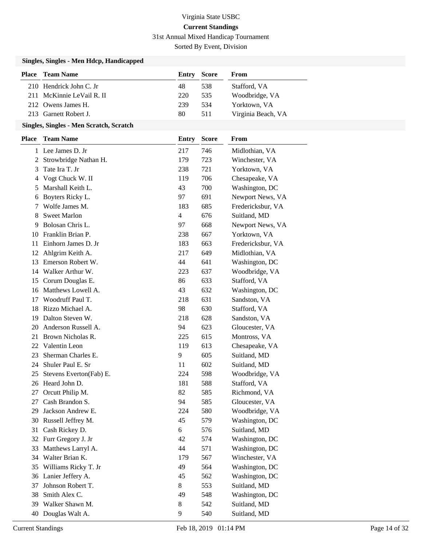31st Annual Mixed Handicap Tournament

Sorted By Event, Division

#### **Singles, Singles - Men Hdcp, Handicapped**

| <b>Place</b> Team Name    | <b>Entry Score</b> |     | From               |
|---------------------------|--------------------|-----|--------------------|
| 210 Hendrick John C. Jr   | 48                 | 538 | Stafford, VA       |
| 211 McKinnie LeVail R. II | 220                | 535 | Woodbridge, VA     |
| 212 Owens James H.        | 239                | 534 | Yorktown, VA       |
| 213 Garnett Robert J.     | 80                 | 511 | Virginia Beach, VA |

#### **Singles, Singles - Men Scratch, Scratch**

| <b>Place</b> | <b>Team Name</b>        | <b>Entry</b>   | <b>Score</b> | From              |
|--------------|-------------------------|----------------|--------------|-------------------|
|              | 1 Lee James D. Jr       | 217            | 746          | Midlothian, VA    |
| 2            | Strowbridge Nathan H.   | 179            | 723          | Winchester, VA    |
| 3            | Tate Ira T. Jr          | 238            | 721          | Yorktown, VA      |
| 4            | Vogt Chuck W. II        | 119            | 706          | Chesapeake, VA    |
| 5            | Marshall Keith L.       | 43             | 700          | Washington, DC    |
| 6            | Boyters Ricky L.        | 97             | 691          | Newport News, VA  |
| 7            | Wolfe James M.          | 183            | 685          | Fredericksbur, VA |
| 8            | <b>Sweet Marlon</b>     | $\overline{4}$ | 676          | Suitland, MD      |
| 9            | Bolosan Chris L.        | 97             | 668          | Newport News, VA  |
| 10           | Franklin Brian P.       | 238            | 667          | Yorktown, VA      |
| 11           | Einhorn James D. Jr     | 183            | 663          | Fredericksbur, VA |
| 12           | Ahlgrim Keith A.        | 217            | 649          | Midlothian, VA    |
| 13           | Emerson Robert W.       | 44             | 641          | Washington, DC    |
| 14           | Walker Arthur W.        | 223            | 637          | Woodbridge, VA    |
| 15           | Corum Douglas E.        | 86             | 633          | Stafford, VA      |
| 16           | Matthews Lowell A.      | 43             | 632          | Washington, DC    |
| 17           | Woodruff Paul T.        | 218            | 631          | Sandston, VA      |
| 18           | Rizzo Michael A.        | 98             | 630          | Stafford, VA      |
| 19           | Dalton Steven W.        | 218            | 628          | Sandston, VA      |
| 20           | Anderson Russell A.     | 94             | 623          | Gloucester, VA    |
| 21           | Brown Nicholas R.       | 225            | 615          | Montross, VA      |
| 22           | Valentin Leon           | 119            | 613          | Chesapeake, VA    |
| 23           | Sherman Charles E.      | 9              | 605          | Suitland, MD      |
| 24           | Shuler Paul E. Sr       | 11             | 602          | Suitland, MD      |
| 25           | Stevens Everton(Fab) E. | 224            | 598          | Woodbridge, VA    |
| 26           | Heard John D.           | 181            | 588          | Stafford, VA      |
| 27           | Orcutt Philip M.        | 82             | 585          | Richmond, VA      |
| 27           | Cash Brandon S.         | 94             | 585          | Gloucester, VA    |
| 29           | Jackson Andrew E.       | 224            | 580          | Woodbridge, VA    |
| 30           | Russell Jeffrey M.      | 45             | 579          | Washington, DC    |
| 31           | Cash Rickey D.          | 6              | 576          | Suitland, MD      |
| 32           | Furr Gregory J. Jr      | 42             | 574          | Washington, DC    |
| 33           | Matthews Larryl A.      | 44             | 571          | Washington, DC    |
|              | 34 Walter Brian K.      | 179            | 567          | Winchester, VA    |
| 35           | Williams Ricky T. Jr    | 49             | 564          | Washington, DC    |
| 36           | Lanier Jeffery A.       | 45             | 562          | Washington, DC    |
| 37           | Johnson Robert T.       | 8              | 553          | Suitland, MD      |
| 38           | Smith Alex C.           | 49             | 548          | Washington, DC    |
| 39           | Walker Shawn M.         | 8              | 542          | Suitland, MD      |
| 40           | Douglas Walt A.         | 9              | 540          | Suitland, MD      |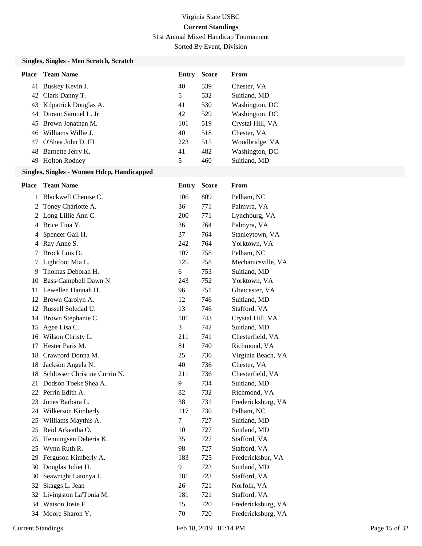31st Annual Mixed Handicap Tournament

Sorted By Event, Division

#### **Singles, Singles - Men Scratch, Scratch**

| Place | Team Name                | Entry | <b>Score</b> | From             |
|-------|--------------------------|-------|--------------|------------------|
|       | 41 Buskey Kevin J.       | 40    | 539          | Chester, VA      |
|       | 42 Clark Danny T.        | 5     | 532          | Suitland, MD     |
|       | 43 Kilpatrick Douglas A. | 41    | 530          | Washington, DC   |
|       | 44 Durant Samuel L. Jr   | 42    | 529          | Washington, DC   |
|       | 45 Brown Jonathan M.     | 101   | 519          | Crystal Hill, VA |
|       | 46 Williams Willie J.    | 40    | 518          | Chester, VA      |
| 47    | O'Shea John D. III       | 223   | 515          | Woodbridge, VA   |
| 48    | Barnette Jerry K.        | 41    | 482          | Washington, DC   |
| 49    | <b>Holton Rodney</b>     | 5     | 460          | Suitland, MD     |

| Place | <b>Team Name</b>              | <b>Entry</b> | <b>Score</b> | From               |
|-------|-------------------------------|--------------|--------------|--------------------|
|       | 1 Blackwell Chenise C.        | 106          | 809          | Pelham, NC         |
| 2     | Toney Charlotte A.            | 36           | 771          | Palmyra, VA        |
|       | 2 Long Lillie Ann C.          | 200          | 771          | Lynchburg, VA      |
|       | 4 Brice Tina Y.               | 36           | 764          | Palmyra, VA        |
| 4     | Spencer Gail H.               | 37           | 764          | Stanleytown, VA    |
| 4     | Ray Anne S.                   | 242          | 764          | Yorktown, VA       |
| 7     | Brock Lois D.                 | 107          | 758          | Pelham, NC         |
| 7     | Lightfoot Mia L.              | 125          | 758          | Mechanicsville, VA |
| 9     | Thomas Deborah H.             | 6            | 753          | Suitland, MD       |
|       | 10 Bass-Campbell Dawn N.      | 243          | 752          | Yorktown, VA       |
|       | 11 Lewellen Hannah H.         | 96           | 751          | Gloucester, VA     |
| 12    | Brown Carolyn A.              | 12           | 746          | Suitland, MD       |
| 12    | Russell Soledad U.            | 13           | 746          | Stafford, VA       |
| 14    | Brown Stephanie C.            | 101          | 743          | Crystal Hill, VA   |
| 15    | Agee Lisa C.                  | 3            | 742          | Suitland, MD       |
| 16    | Wilson Christy L.             | 211          | 741          | Chesterfield, VA   |
| 17    | Hester Paris M.               | 81           | 740          | Richmond, VA       |
| 18    | Crawford Donna M.             | 25           | 736          | Virginia Beach, VA |
| 18    | Jackson Angela N.             | 40           | 736          | Chester, VA        |
| 18    | Schlosser Christine Corrin N. | 211          | 736          | Chesterfield, VA   |
| 21    | Dodson Toeke'Shea A.          | 9            | 734          | Suitland, MD       |
|       | 22 Perrin Edith A.            | 82           | 732          | Richmond, VA       |
| 23    | Jones Barbara L.              | 38           | 731          | Fredericksburg, VA |
|       | 24 Wilkerson Kimberly         | 117          | 730          | Pelham, NC         |
| 25    | Williams Maythis A.           | 7            | 727          | Suitland, MD       |
| 25    | Reid Arkeatha O.              | 10           | 727          | Suitland, MD       |
| 25    | Henningsen Deberia K.         | 35           | 727          | Stafford, VA       |
| 25    | Wynn Ruth R.                  | 98           | 727          | Stafford, VA       |
|       | 29 Ferguson Kimberly A.       | 183          | 725          | Fredericksbur, VA  |
|       | 30 Douglas Juliet H.          | 9            | 723          | Suitland, MD       |
| 30    | Seawright Latonya J.          | 181          | 723          | Stafford, VA       |
| 32    | Skaggs L. Jean                | 26           | 721          | Norfolk, VA        |
|       | 32 Livingston La'Tonia M.     | 181          | 721          | Stafford, VA       |
|       | 34 Watson Josie F.            | 15           | 720          | Fredericksburg, VA |
|       | 34 Moore Sharon Y.            | 70           | 720          | Fredericksburg, VA |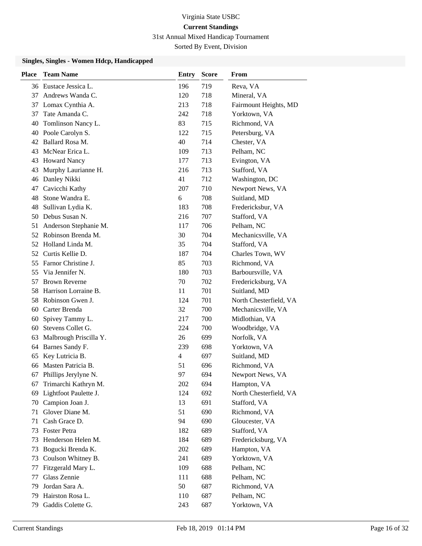31st Annual Mixed Handicap Tournament

Sorted By Event, Division

| <b>Place</b> | <b>Team Name</b>         | <b>Entry</b>   | <b>Score</b> | <b>From</b>            |
|--------------|--------------------------|----------------|--------------|------------------------|
|              | 36 Eustace Jessica L.    | 196            | 719          | Reva, VA               |
| 37           | Andrews Wanda C.         | 120            | 718          | Mineral, VA            |
| 37           | Lomax Cynthia A.         | 213            | 718          | Fairmount Heights, MD  |
| 37           | Tate Amanda C.           | 242            | 718          | Yorktown, VA           |
| 40           | Tomlinson Nancy L.       | 83             | 715          | Richmond, VA           |
|              | 40 Poole Carolyn S.      | 122            | 715          | Petersburg, VA         |
|              | 42 Ballard Rosa M.       | 40             | 714          | Chester, VA            |
| 43           | McNear Erica L.          | 109            | 713          | Pelham, NC             |
| 43           | <b>Howard Nancy</b>      | 177            | 713          | Evington, VA           |
| 43           | Murphy Laurianne H.      | 216            | 713          | Stafford, VA           |
| 46           | Danley Nikki             | 41             | 712          | Washington, DC         |
| 47           | Cavicchi Kathy           | 207            | 710          | Newport News, VA       |
| 48           | Stone Wandra E.          | 6              | 708          | Suitland, MD           |
| 48           | Sullivan Lydia K.        | 183            | 708          | Fredericksbur, VA      |
| 50           | Debus Susan N.           | 216            | 707          | Stafford, VA           |
| 51           | Anderson Stephanie M.    | 117            | 706          | Pelham, NC             |
|              | 52 Robinson Brenda M.    | 30             | 704          | Mechanicsville, VA     |
|              | 52 Holland Linda M.      | 35             | 704          | Stafford, VA           |
|              | 52 Curtis Kellie D.      | 187            | 704          | Charles Town, WV       |
| 55           | Farnor Christine J.      | 85             | 703          | Richmond, VA           |
| 55           | Via Jennifer N.          | 180            | 703          | Barboursville, VA      |
| 57           | <b>Brown Reverne</b>     | 70             | 702          | Fredericksburg, VA     |
| 58           | Harrison Lorraine B.     | 11             | 701          | Suitland, MD           |
| 58           | Robinson Gwen J.         | 124            | 701          | North Chesterfield, VA |
| 60           | Carter Brenda            | 32             | 700          | Mechanicsville, VA     |
| 60           | Spivey Tammy L.          | 217            | 700          | Midlothian, VA         |
| 60           | Stevens Collet G.        | 224            | 700          | Woodbridge, VA         |
| 63           | Malbrough Priscilla Y.   | 26             | 699          | Norfolk, VA            |
| 64           | Barnes Sandy F.          | 239            | 698          | Yorktown, VA           |
| 65           | Key Lutricia B.          | $\overline{4}$ | 697          | Suitland, MD           |
| 66           | Masten Patricia B.       | 51             | 696          | Richmond, VA           |
| 67           | Phillips Jerylyne N.     | 97             | 694          | Newport News, VA       |
| 67           | Trimarchi Kathryn M.     | 202            | 694          | Hampton, VA            |
|              | 69 Lightfoot Paulette J. | 124            | 692          | North Chesterfield, VA |
| 70           | Campion Joan J.          | 13             | 691          | Stafford, VA           |
| 71           | Glover Diane M.          | 51             | 690          | Richmond, VA           |
| 71           | Cash Grace D.            | 94             | 690          | Gloucester, VA         |
| 73           | Foster Petra             | 182            | 689          | Stafford, VA           |
| 73           | Henderson Helen M.       | 184            | 689          | Fredericksburg, VA     |
| 73           | Bogucki Brenda K.        | 202            | 689          | Hampton, VA            |
| 73           | Coulson Whitney B.       | 241            | 689          | Yorktown, VA           |
| 77           | Fitzgerald Mary L.       | 109            | 688          | Pelham, NC             |
| 77           | Glass Zennie             | 111            | 688          | Pelham, NC             |
| 79           | Jordan Sara A.           | 50             | 687          | Richmond, VA           |
| 79           | Hairston Rosa L.         | 110            | 687          | Pelham, NC             |
| 79           | Gaddis Colette G.        | 243            | 687          | Yorktown, VA           |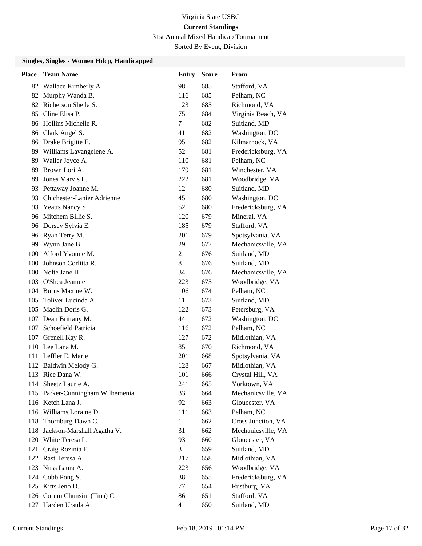31st Annual Mixed Handicap Tournament

Sorted By Event, Division

| <b>Place</b> | <b>Team Name</b>                 | <b>Entry</b>   | <b>Score</b> | From               |
|--------------|----------------------------------|----------------|--------------|--------------------|
| 82           | Wallace Kimberly A.              | 98             | 685          | Stafford, VA       |
| 82           | Murphy Wanda B.                  | 116            | 685          | Pelham, NC         |
|              | 82 Richerson Sheila S.           | 123            | 685          | Richmond, VA       |
| 85           | Cline Elisa P.                   | 75             | 684          | Virginia Beach, VA |
| 86           | Hollins Michelle R.              | 7              | 682          | Suitland, MD       |
| 86           | Clark Angel S.                   | 41             | 682          | Washington, DC     |
|              | 86 Drake Brigitte E.             | 95             | 682          | Kilmarnock, VA     |
| 89           | Williams Lavangelene A.          | 52             | 681          | Fredericksburg, VA |
| 89           | Waller Joyce A.                  | 110            | 681          | Pelham, NC         |
| 89           | Brown Lori A.                    | 179            | 681          | Winchester, VA     |
| 89           | Jones Marvis L.                  | 222            | 681          | Woodbridge, VA     |
| 93           | Pettaway Joanne M.               | 12             | 680          | Suitland, MD       |
| 93           | Chichester-Lanier Adrienne       | 45             | 680          | Washington, DC     |
| 93           | Yeatts Nancy S.                  | 52             | 680          | Fredericksburg, VA |
|              | 96 Mitchem Billie S.             | 120            | 679          | Mineral, VA        |
| 96           | Dorsey Sylvia E.                 | 185            | 679          | Stafford, VA       |
| 96           | Ryan Terry M.                    | 201            | 679          | Spotsylvania, VA   |
| 99           | Wynn Jane B.                     | 29             | 677          | Mechanicsville, VA |
| 100          | Alford Yvonne M.                 | $\overline{c}$ | 676          | Suitland, MD       |
| 100          | Johnson Corlitta R.              | 8              | 676          | Suitland, MD       |
|              | 100 Nolte Jane H.                | 34             | 676          | Mechanicsville, VA |
|              | 103 O'Shea Jeannie               | 223            | 675          | Woodbridge, VA     |
|              | 104 Burns Maxine W.              | 106            | 674          | Pelham, NC         |
| 105          | Toliver Lucinda A.               | 11             | 673          | Suitland, MD       |
|              | 105 Maclin Doris G.              | 122            | 673          | Petersburg, VA     |
| 107          | Dean Brittany M.                 | 44             | 672          | Washington, DC     |
| 107          | Schoefield Patricia              | 116            | 672          | Pelham, NC         |
| 107          | Grenell Kay R.                   | 127            | 672          | Midlothian, VA     |
|              | 110 Lee Lana M.                  | 85             | 670          | Richmond, VA       |
|              | 111 Leffler E. Marie             | 201            | 668          | Spotsylvania, VA   |
|              | 112 Baldwin Melody G.            | 128            | 667          | Midlothian, VA     |
|              | 113 Rice Dana W.                 | 101            | 666          | Crystal Hill, VA   |
|              | 114 Sheetz Laurie A.             | 241            | 665          | Yorktown, VA       |
|              | 115 Parker-Cunningham Wilhemenia | 33             | 664          | Mechanicsville, VA |
|              | 116 Ketch Lana J.                | 92             | 663          | Gloucester, VA     |
|              | 116 Williams Loraine D.          | 111            | 663          | Pelham, NC         |
| 118          | Thornburg Dawn C.                | 1              | 662          | Cross Junction, VA |
| 118          | Jackson-Marshall Agatha V.       | 31             | 662          | Mechanicsville, VA |
| 120          | White Teresa L.                  | 93             | 660          | Gloucester, VA     |
| 121          | Craig Rozinia E.                 | 3              | 659          | Suitland, MD       |
|              | 122 Rast Teresa A.               | 217            | 658          | Midlothian, VA     |
|              | 123 Nuss Laura A.                | 223            | 656          | Woodbridge, VA     |
|              | 124 Cobb Pong S.                 | 38             | 655          | Fredericksburg, VA |
|              | 125 Kitts Jeno D.                | 77             | 654          | Rustburg, VA       |
|              | 126 Corum Chunsim (Tina) C.      | 86             | 651          | Stafford, VA       |
|              | 127 Harden Ursula A.             | $\overline{4}$ | 650          | Suitland, MD       |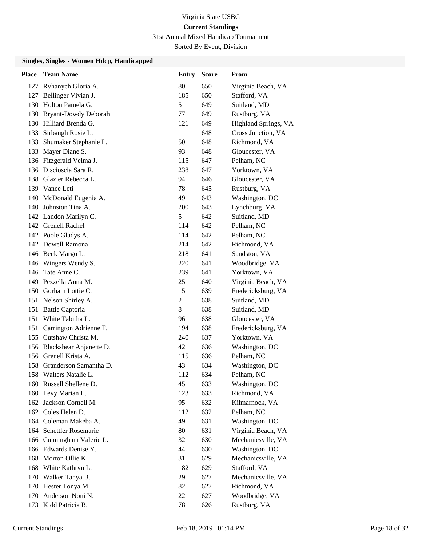31st Annual Mixed Handicap Tournament

Sorted By Event, Division

| Place | <b>Team Name</b>            | <b>Entry</b>   | <b>Score</b> | From                 |
|-------|-----------------------------|----------------|--------------|----------------------|
| 127   | Ryhanych Gloria A.          | 80             | 650          | Virginia Beach, VA   |
|       | 127 Bellinger Vivian J.     | 185            | 650          | Stafford, VA         |
|       | 130 Holton Pamela G.        | 5              | 649          | Suitland, MD         |
|       | 130 Bryant-Dowdy Deborah    | 77             | 649          | Rustburg, VA         |
|       | 130 Hilliard Brenda G.      | 121            | 649          | Highland Springs, VA |
| 133   | Sirbaugh Rosie L.           | 1              | 648          | Cross Junction, VA   |
| 133   | Shumaker Stephanie L.       | 50             | 648          | Richmond, VA         |
| 133   | Mayer Diane S.              | 93             | 648          | Gloucester, VA       |
|       | 136 Fitzgerald Velma J.     | 115            | 647          | Pelham, NC           |
|       | 136 Discioscia Sara R.      | 238            | 647          | Yorktown, VA         |
|       | 138 Glazier Rebecca L.      | 94             | 646          | Gloucester, VA       |
|       | 139 Vance Leti              | 78             | 645          | Rustburg, VA         |
|       | 140 McDonald Eugenia A.     | 49             | 643          | Washington, DC       |
|       | 140 Johnston Tina A.        | 200            | 643          | Lynchburg, VA        |
|       | 142 Landon Marilyn C.       | 5              | 642          | Suitland, MD         |
|       | 142 Grenell Rachel          | 114            | 642          | Pelham, NC           |
|       | 142 Poole Gladys A.         | 114            | 642          | Pelham, NC           |
|       | 142 Dowell Ramona           | 214            | 642          | Richmond, VA         |
|       | 146 Beck Margo L.           | 218            | 641          | Sandston, VA         |
| 146   | Wingers Wendy S.            | 220            | 641          | Woodbridge, VA       |
| 146   | Tate Anne C.                | 239            | 641          | Yorktown, VA         |
|       | 149 Pezzella Anna M.        | 25             | 640          | Virginia Beach, VA   |
|       | 150 Gorham Lottie C.        | 15             | 639          | Fredericksburg, VA   |
|       | 151 Nelson Shirley A.       | $\overline{c}$ | 638          | Suitland, MD         |
|       | 151 Battle Captoria         | 8              | 638          | Suitland, MD         |
|       | 151 White Tabitha L.        | 96             | 638          | Gloucester, VA       |
|       | 151 Carrington Adrienne F.  | 194            | 638          | Fredericksburg, VA   |
|       | 155 Cutshaw Christa M.      | 240            | 637          | Yorktown, VA         |
|       | 156 Blackshear Anjanette D. | 42             | 636          | Washington, DC       |
|       | 156 Grenell Krista A.       | 115            | 636          | Pelham, NC           |
|       | 158 Granderson Samantha D.  | 43             | 634          | Washington, DC       |
|       | 158 Walters Natalie L.      | 112            | 634          | Pelham, NC           |
|       | 160 Russell Shellene D.     | 45             | 633          | Washington, DC       |
|       | 160 Levy Marian L.          | 123            | 633          | Richmond, VA         |
|       | 162 Jackson Cornell M.      | 95             | 632          | Kilmarnock, VA       |
|       | 162 Coles Helen D.          | 112            | 632          | Pelham, NC           |
|       | 164 Coleman Makeba A.       | 49             | 631          | Washington, DC       |
|       | 164 Schettler Rosemarie     | 80             | 631          | Virginia Beach, VA   |
|       | 166 Cunningham Valerie L.   | 32             | 630          | Mechanicsville, VA   |
|       | 166 Edwards Denise Y.       | 44             | 630          | Washington, DC       |
|       | 168 Morton Ollie K.         | 31             | 629          | Mechanicsville, VA   |
|       | 168 White Kathryn L.        | 182            | 629          | Stafford, VA         |
|       | 170 Walker Tanya B.         | 29             | 627          | Mechanicsville, VA   |
|       | 170 Hester Tonya M.         | 82             | 627          | Richmond, VA         |
| 170   | Anderson Noni N.            | 221            | 627          | Woodbridge, VA       |
| 173   | Kidd Patricia B.            | 78             | 626          | Rustburg, VA         |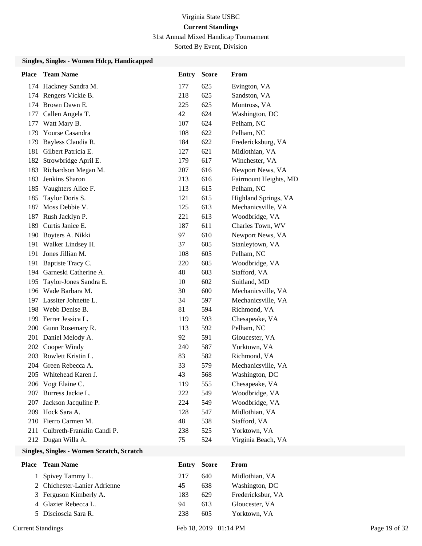31st Annual Mixed Handicap Tournament

Sorted By Event, Division

#### **Singles, Singles - Women Hdcp, Handicapped**

| <b>Place</b> | <b>Team Name</b>           | <b>Entry</b> | <b>Score</b> | From                  |
|--------------|----------------------------|--------------|--------------|-----------------------|
|              | 174 Hackney Sandra M.      | 177          | 625          | Evington, VA          |
|              | 174 Rengers Vickie B.      | 218          | 625          | Sandston, VA          |
|              | 174 Brown Dawn E.          | 225          | 625          | Montross, VA          |
| 177          | Callen Angela T.           | 42           | 624          | Washington, DC        |
| 177          | Watt Mary B.               | 107          | 624          | Pelham, NC            |
| 179          | Yourse Casandra            | 108          | 622          | Pelham, NC            |
| 179          | Bayless Claudia R.         | 184          | 622          | Fredericksburg, VA    |
| 181          | Gilbert Patricia E.        | 127          | 621          | Midlothian, VA        |
| 182          | Strowbridge April E.       | 179          | 617          | Winchester, VA        |
| 183          | Richardson Megan M.        | 207          | 616          | Newport News, VA      |
| 183          | Jenkins Sharon             | 213          | 616          | Fairmount Heights, MD |
| 185          | Vaughters Alice F.         | 113          | 615          | Pelham, NC            |
| 185          | Taylor Doris S.            | 121          | 615          | Highland Springs, VA  |
| 187          | Moss Debbie V.             | 125          | 613          | Mechanicsville, VA    |
| 187          | Rush Jacklyn P.            | 221          | 613          | Woodbridge, VA        |
| 189          | Curtis Janice E.           | 187          | 611          | Charles Town, WV      |
| 190          | Boyters A. Nikki           | 97           | 610          | Newport News, VA      |
| 191          | Walker Lindsey H.          | 37           | 605          | Stanleytown, VA       |
| 191          | Jones Jillian M.           | 108          | 605          | Pelham, NC            |
| 191          | Baptiste Tracy C.          | 220          | 605          | Woodbridge, VA        |
| 194          | Garneski Catherine A.      | 48           | 603          | Stafford, VA          |
| 195          | Taylor-Jones Sandra E.     | 10           | 602          | Suitland, MD          |
|              | 196 Wade Barbara M.        | 30           | 600          | Mechanicsville, VA    |
| 197          | Lassiter Johnette L.       | 34           | 597          | Mechanicsville, VA    |
| 198          | Webb Denise B.             | 81           | 594          | Richmond, VA          |
|              | 199 Ferrer Jessica L.      | 119          | 593          | Chesapeake, VA        |
| 200          | Gunn Rosemary R.           | 113          | 592          | Pelham, NC            |
| 201          | Daniel Melody A.           | 92           | 591          | Gloucester, VA        |
| 202          | Cooper Windy               | 240          | 587          | Yorktown, VA          |
|              | 203 Rowlett Kristin L.     | 83           | 582          | Richmond, VA          |
|              | 204 Green Rebecca A.       | 33           | 579          | Mechanicsville, VA    |
|              | 205 Whitehead Karen J.     | 43           | 568          | Washington, DC        |
|              | 206 Vogt Elaine C.         | 119          | 555          | Chesapeake, VA        |
| 207          | Burress Jackie L.          | 222          | 549          | Woodbridge, VA        |
| 207          | Jackson Jacquline P.       | 224          | 549          | Woodbridge, VA        |
|              | 209 Hock Sara A.           | 128          | 547          | Midlothian, VA        |
|              | 210 Fierro Carmen M.       | 48           | 538          | Stafford, VA          |
| 211          | Culbreth-Franklin Candi P. | 238          | 525          | Yorktown, VA          |
|              | 212 Dugan Willa A.         | 75           | 524          | Virginia Beach, VA    |

# **Singles, Singles - Women Scratch, Scratch**

| Place | Team Name                    | Entry | Score | From              |
|-------|------------------------------|-------|-------|-------------------|
|       | 1 Spivey Tammy L.            | 217   | 640   | Midlothian, VA    |
|       | 2 Chichester-Lanier Adrienne | 45    | 638   | Washington, DC    |
|       | 3 Ferguson Kimberly A.       | 183   | 629   | Fredericksbur, VA |
|       | 4 Glazier Rebecca L.         | 94    | 613   | Gloucester, VA    |
|       | 5 Discioscia Sara R.         | 238   | 605   | Yorktown, VA      |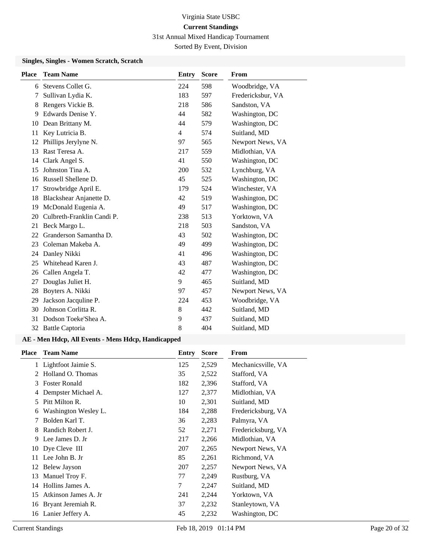31st Annual Mixed Handicap Tournament

Sorted By Event, Division

#### **Singles, Singles - Women Scratch, Scratch**

| <b>Place</b> | <b>Team Name</b>           | <b>Entry</b> | <b>Score</b> | From              |
|--------------|----------------------------|--------------|--------------|-------------------|
| 6            | Stevens Collet G.          | 224          | 598          | Woodbridge, VA    |
| 7            | Sullivan Lydia K.          | 183          | 597          | Fredericksbur, VA |
| 8            | Rengers Vickie B.          | 218          | 586          | Sandston, VA      |
| 9            | Edwards Denise Y.          | 44           | 582          | Washington, DC    |
| 10           | Dean Brittany M.           | 44           | 579          | Washington, DC    |
| 11           | Key Lutricia B.            | 4            | 574          | Suitland, MD      |
| 12           | Phillips Jerylyne N.       | 97           | 565          | Newport News, VA  |
| 13           | Rast Teresa A.             | 217          | 559          | Midlothian, VA    |
| 14           | Clark Angel S.             | 41           | 550          | Washington, DC    |
| 15           | Johnston Tina A.           | 200          | 532          | Lynchburg, VA     |
| 16           | Russell Shellene D.        | 45           | 525          | Washington, DC    |
| 17           | Strowbridge April E.       | 179          | 524          | Winchester, VA    |
| 18           | Blackshear Anjanette D.    | 42           | 519          | Washington, DC    |
| 19           | McDonald Eugenia A.        | 49           | 517          | Washington, DC    |
| 20           | Culbreth-Franklin Candi P. | 238          | 513          | Yorktown, VA      |
| 21           | Beck Margo L.              | 218          | 503          | Sandston, VA      |
| 22           | Granderson Samantha D.     | 43           | 502          | Washington, DC    |
| 23           | Coleman Makeba A.          | 49           | 499          | Washington, DC    |
| 24           | Danley Nikki               | 41           | 496          | Washington, DC    |
| 25           | Whitehead Karen J.         | 43           | 487          | Washington, DC    |
| 26           | Callen Angela T.           | 42           | 477          | Washington, DC    |
| 27           | Douglas Juliet H.          | 9            | 465          | Suitland, MD      |
| 28           | Boyters A. Nikki           | 97           | 457          | Newport News, VA  |
| 29           | Jackson Jacquline P.       | 224          | 453          | Woodbridge, VA    |
| 30           | Johnson Corlitta R.        | 8            | 442          | Suitland, MD      |
| 31           | Dodson Toeke'Shea A.       | 9            | 437          | Suitland, MD      |
|              | 32 Battle Captoria         | 8            | 404          | Suitland, MD      |

| <b>Team Name</b>     | Entry | <b>Score</b> | From               |
|----------------------|-------|--------------|--------------------|
| Lightfoot Jaimie S.  | 125   | 2,529        | Mechanicsville, VA |
| Holland O. Thomas    | 35    | 2,522        | Stafford, VA       |
| <b>Foster Ronald</b> | 182   | 2,396        | Stafford, VA       |
| Dempster Michael A.  | 127   | 2,377        | Midlothian, VA     |
| Pitt Milton R.       | 10    | 2,301        | Suitland, MD       |
| Washington Wesley L. | 184   | 2,288        | Fredericksburg, VA |
| Bolden Karl T.       | 36    | 2,283        | Palmyra, VA        |
| Randich Robert J.    | 52    | 2,271        | Fredericksburg, VA |
| Lee James D. Jr      | 217   | 2,266        | Midlothian, VA     |
| Dye Cleve III        | 207   | 2,265        | Newport News, VA   |
| Lee John B. Jr       | 85    | 2,261        | Richmond, VA       |
| Belew Jayson         | 207   | 2,257        | Newport News, VA   |
| Manuel Troy F.       | 77    | 2,249        | Rustburg, VA       |
| Hollins James A.     | 7     | 2,247        | Suitland, MD       |
| Atkinson James A. Jr | 241   | 2,244        | Yorktown, VA       |
| Bryant Jeremiah R.   | 37    | 2,232        | Stanleytown, VA    |
| Lanier Jeffery A.    | 45    | 2,232        | Washington, DC     |
|                      |       |              |                    |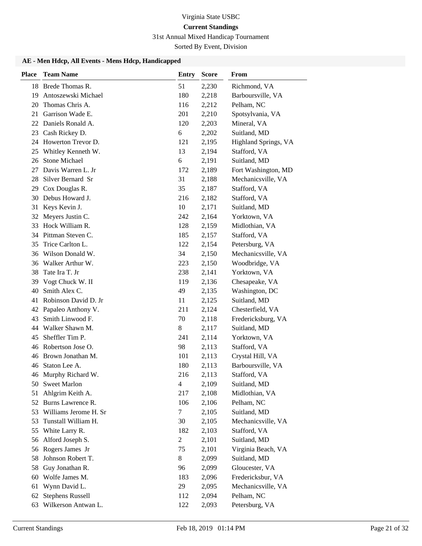# 31st Annual Mixed Handicap Tournament

Sorted By Event, Division

| <b>Place</b> | <b>Team Name</b>        | <b>Entry</b>   | <b>Score</b> | From                 |
|--------------|-------------------------|----------------|--------------|----------------------|
|              | 18 Brede Thomas R.      | 51             | 2,230        | Richmond, VA         |
| 19           | Antoszewski Michael     | 180            | 2,218        | Barboursville, VA    |
| 20           | Thomas Chris A.         | 116            | 2,212        | Pelham, NC           |
| 21           | Garrison Wade E.        | 201            | 2,210        | Spotsylvania, VA     |
| 22           | Daniels Ronald A.       | 120            | 2,203        | Mineral, VA          |
| 23           | Cash Rickey D.          | 6              | 2,202        | Suitland, MD         |
|              | 24 Howerton Trevor D.   | 121            | 2,195        | Highland Springs, VA |
| 25           | Whitley Kenneth W.      | 13             | 2,194        | Stafford, VA         |
| 26           | Stone Michael           | 6              | 2,191        | Suitland, MD         |
| 27           | Davis Warren L. Jr      | 172            | 2,189        | Fort Washington, MD  |
| 28           | Silver Bernard Sr       | 31             | 2,188        | Mechanicsville, VA   |
| 29           | Cox Douglas R.          | 35             | 2,187        | Stafford, VA         |
| 30           | Debus Howard J.         | 216            | 2,182        | Stafford, VA         |
| 31           | Keys Kevin J.           | 10             | 2,171        | Suitland, MD         |
| 32           | Meyers Justin C.        | 242            | 2,164        | Yorktown, VA         |
| 33           | Hock William R.         | 128            | 2,159        | Midlothian, VA       |
| 34           | Pittman Steven C.       | 185            | 2,157        | Stafford, VA         |
| 35           | Trice Carlton L.        | 122            | 2,154        | Petersburg, VA       |
| 36           | Wilson Donald W.        | 34             | 2,150        | Mechanicsville, VA   |
| 36           | Walker Arthur W.        | 223            | 2,150        | Woodbridge, VA       |
| 38           | Tate Ira T. Jr          | 238            | 2,141        | Yorktown, VA         |
| 39           | Vogt Chuck W. II        | 119            | 2,136        | Chesapeake, VA       |
| 40           | Smith Alex C.           | 49             | 2,135        | Washington, DC       |
| 41           | Robinson David D. Jr    | 11             | 2,125        | Suitland, MD         |
| 42           | Papaleo Anthony V.      | 211            | 2,124        | Chesterfield, VA     |
| 43           | Smith Linwood F.        | 70             | 2,118        | Fredericksburg, VA   |
| 44           | Walker Shawn M.         | $8\,$          | 2,117        | Suitland, MD         |
| 45           | Sheffler Tim P.         | 241            | 2,114        | Yorktown, VA         |
| 46           | Robertson Jose O.       | 98             | 2,113        | Stafford, VA         |
| 46           | Brown Jonathan M.       | 101            | 2,113        | Crystal Hill, VA     |
| 46           | Staton Lee A.           | 180            | 2,113        | Barboursville, VA    |
|              | 46 Murphy Richard W.    | 216            | 2,113        | Stafford, VA         |
| 50           | <b>Sweet Marlon</b>     | 4              | 2,109        | Suitland, MD         |
| 51           | Ahlgrim Keith A.        | 217            | 2,108        | Midlothian, VA       |
|              | 52 Burns Lawrence R.    | 106            | 2,106        | Pelham, NC           |
| 53           | Williams Jerome H. Sr   | 7              | 2,105        | Suitland, MD         |
| 53           | Tunstall William H.     | 30             | 2,105        | Mechanicsville, VA   |
| 55           | White Larry R.          | 182            | 2,103        | Stafford, VA         |
| 56           | Alford Joseph S.        | $\overline{c}$ | 2,101        | Suitland, MD         |
| 56           | Rogers James Jr         | 75             | 2,101        | Virginia Beach, VA   |
| 58           | Johnson Robert T.       | 8              | 2,099        | Suitland, MD         |
| 58           | Guy Jonathan R.         | 96             | 2,099        | Gloucester, VA       |
| 60           | Wolfe James M.          | 183            | 2,096        | Fredericksbur, VA    |
| 61           | Wynn David L.           | 29             | 2,095        | Mechanicsville, VA   |
| 62           | <b>Stephens Russell</b> | 112            | 2,094        | Pelham, NC           |
| 63           | Wilkerson Antwan L.     | 122            | 2,093        | Petersburg, VA       |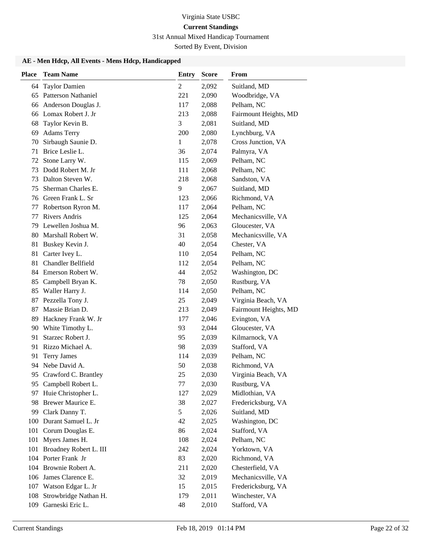### 31st Annual Mixed Handicap Tournament

Sorted By Event, Division

| <b>Place</b> | <b>Team Name</b>           | <b>Entry</b> | <b>Score</b> | From                  |
|--------------|----------------------------|--------------|--------------|-----------------------|
| 64           | <b>Taylor Damien</b>       | 2            | 2,092        | Suitland, MD          |
| 65           | <b>Patterson Nathaniel</b> | 221          | 2,090        | Woodbridge, VA        |
| 66           | Anderson Douglas J.        | 117          | 2,088        | Pelham, NC            |
| 66           | Lomax Robert J. Jr         | 213          | 2,088        | Fairmount Heights, MD |
| 68           | Taylor Kevin B.            | 3            | 2,081        | Suitland, MD          |
| 69           | <b>Adams Terry</b>         | 200          | 2,080        | Lynchburg, VA         |
| 70           | Sirbaugh Saunie D.         | $\mathbf{1}$ | 2,078        | Cross Junction, VA    |
| 71           | Brice Leslie L.            | 36           | 2,074        | Palmyra, VA           |
| 72           | Stone Larry W.             | 115          | 2,069        | Pelham, NC            |
| 73           | Dodd Robert M. Jr          | 111          | 2,068        | Pelham, NC            |
| 73           | Dalton Steven W.           | 218          | 2,068        | Sandston, VA          |
| 75           | Sherman Charles E.         | 9            | 2,067        | Suitland, MD          |
| 76           | Green Frank L. Sr          | 123          | 2,066        | Richmond, VA          |
| 77           | Robertson Ryron M.         | 117          | 2,064        | Pelham, NC            |
| 77           | <b>Rivers Andris</b>       | 125          | 2,064        | Mechanicsville, VA    |
| 79           | Lewellen Joshua M.         | 96           | 2,063        | Gloucester, VA        |
| 80           | Marshall Robert W.         | 31           | 2,058        | Mechanicsville, VA    |
| 81           | Buskey Kevin J.            | 40           | 2,054        | Chester, VA           |
| 81           | Carter Ivey L.             | 110          | 2,054        | Pelham, NC            |
| 81           | Chandler Bellfield         | 112          | 2,054        | Pelham, NC            |
|              | 84 Emerson Robert W.       | 44           | 2,052        | Washington, DC        |
| 85           | Campbell Bryan K.          | 78           | 2,050        | Rustburg, VA          |
| 85           | Waller Harry J.            | 114          | 2,050        | Pelham, NC            |
| 87           | Pezzella Tony J.           | 25           | 2,049        | Virginia Beach, VA    |
| 87           | Massie Brian D.            | 213          | 2,049        | Fairmount Heights, MD |
| 89           | Hackney Frank W. Jr        | 177          | 2,046        | Evington, VA          |
|              | 90 White Timothy L.        | 93           | 2,044        | Gloucester, VA        |
| 91           | Starzec Robert J.          | 95           | 2,039        | Kilmarnock, VA        |
| 91           | Rizzo Michael A.           | 98           | 2,039        | Stafford, VA          |
| 91           | <b>Terry James</b>         | 114          | 2,039        | Pelham, NC            |
|              | 94 Nebe David A.           | 50           | 2,038        | Richmond, VA          |
| 95           | Crawford C. Brantley       | 25           | 2,030        | Virginia Beach, VA    |
| 95.          | Campbell Robert L.         | 77           | 2,030        | Rustburg, VA          |
| 97           | Huie Christopher L.        | 127          | 2,029        | Midlothian, VA        |
| 98           | Brewer Maurice E.          | 38           | 2,027        | Fredericksburg, VA    |
| 99           | Clark Danny T.             | 5            | 2,026        | Suitland, MD          |
|              | 100 Durant Samuel L. Jr    | 42           | 2,025        | Washington, DC        |
| 101          | Corum Douglas E.           | 86           | 2,024        | Stafford, VA          |
| 101          | Myers James H.             | 108          | 2,024        | Pelham, NC            |
| 101          | Broadney Robert L. III     | 242          | 2,024        | Yorktown, VA          |
|              | 104 Porter Frank Jr        | 83           | 2,020        | Richmond, VA          |
|              | 104 Brownie Robert A.      | 211          | 2,020        | Chesterfield, VA      |
|              | 106 James Clarence E.      | 32           | 2,019        | Mechanicsville, VA    |
|              | 107 Watson Edgar L. Jr     | 15           | 2,015        | Fredericksburg, VA    |
| 108          | Strowbridge Nathan H.      | 179          | 2,011        | Winchester, VA        |
| 109          | Garneski Eric L.           | 48           | 2,010        | Stafford, VA          |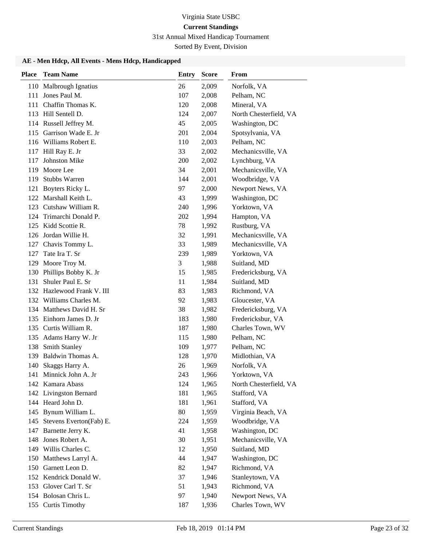# 31st Annual Mixed Handicap Tournament

Sorted By Event, Division

| <b>Place</b> | <b>Team Name</b>                         | Entry     | <b>Score</b>   | From                                 |
|--------------|------------------------------------------|-----------|----------------|--------------------------------------|
|              | 110 Malbrough Ignatius                   | 26        | 2,009          | Norfolk, VA                          |
| 111          | Jones Paul M.                            | 107       | 2,008          | Pelham, NC                           |
|              | 111 Chaffin Thomas K.                    | 120       | 2,008          | Mineral, VA                          |
|              | 113 Hill Sentell D.                      | 124       | 2,007          | North Chesterfield, VA               |
|              | 114 Russell Jeffrey M.                   | 45        | 2,005          | Washington, DC                       |
| 115          | Garrison Wade E. Jr                      | 201       | 2,004          | Spotsylvania, VA                     |
|              | 116 Williams Robert E.                   | 110       | 2,003          | Pelham, NC                           |
|              | 117 Hill Ray E. Jr                       | 33        | 2,002          | Mechanicsville, VA                   |
| 117          | Johnston Mike                            | 200       | 2,002          | Lynchburg, VA                        |
| 119          | Moore Lee                                | 34        | 2,001          | Mechanicsville, VA                   |
| 119          | <b>Stubbs Warren</b>                     | 144       | 2,001          | Woodbridge, VA                       |
| 121          | Boyters Ricky L.                         | 97        | 2,000          | Newport News, VA                     |
|              | 122 Marshall Keith L.                    | 43        | 1,999          | Washington, DC                       |
|              | 123 Cutshaw William R.                   | 240       | 1,996          | Yorktown, VA                         |
|              | 124 Trimarchi Donald P.                  | 202       | 1,994          | Hampton, VA                          |
|              | 125 Kidd Scottie R.                      | 78        | 1,992          | Rustburg, VA                         |
|              | 126 Jordan Willie H.                     | 32        | 1,991          | Mechanicsville, VA                   |
| 127          | Chavis Tommy L.                          | 33        | 1,989          | Mechanicsville, VA                   |
| 127          | Tate Ira T. Sr                           | 239       | 1,989          | Yorktown, VA                         |
| 129          | Moore Troy M.                            | 3         | 1,988          | Suitland, MD                         |
| 130          | Phillips Bobby K. Jr                     | 15        | 1,985          | Fredericksburg, VA                   |
| 131          | Shuler Paul E. Sr                        | 11        | 1,984          | Suitland, MD                         |
|              | 132 Hazlewood Frank V. III               | 83        | 1,983          | Richmond, VA                         |
|              | 132 Williams Charles M.                  | 92        | 1,983          | Gloucester, VA                       |
|              | 134 Matthews David H. Sr                 | 38        | 1,982          | Fredericksburg, VA                   |
| 135          | Einhorn James D. Jr                      | 183       | 1,980          | Fredericksbur, VA                    |
| 135          | Curtis William R.                        | 187       | 1,980          | Charles Town, WV                     |
| 135          | Adams Harry W. Jr                        | 115       | 1,980          | Pelham, NC                           |
| 138          | <b>Smith Stanley</b>                     | 109       | 1,977          | Pelham, NC                           |
| 139          | Baldwin Thomas A.                        | 128       | 1,970          | Midlothian, VA                       |
| 140          | Skaggs Harry A.                          | 26        | 1,969          | Norfolk, VA                          |
| 141          | Minnick John A. Jr                       | 243       | 1,966          | Yorktown, VA                         |
|              | 142 Kamara Abass                         | 124       | 1,965          | North Chesterfield, VA               |
|              | 142 Livingston Bernard                   | 181       | 1,965          | Stafford, VA                         |
|              | 144 Heard John D.                        | 181       | 1,961          | Stafford, VA                         |
|              | 145 Bynum William L.                     | 80        | 1,959          | Virginia Beach, VA                   |
| 145          | Stevens Everton(Fab) E.                  | 224<br>41 | 1,959          | Woodbridge, VA                       |
| 148          | 147 Barnette Jerry K.<br>Jones Robert A. | 30        | 1,958<br>1,951 | Washington, DC<br>Mechanicsville, VA |
| 149          | Willis Charles C.                        | 12        | 1,950          | Suitland, MD                         |
|              | 150 Matthews Larryl A.                   | 44        | 1,947          | Washington, DC                       |
| 150          | Garnett Leon D.                          | 82        | 1,947          | Richmond, VA                         |
|              | 152 Kendrick Donald W.                   | 37        | 1,946          | Stanleytown, VA                      |
| 153          | Glover Carl T. Sr                        | 51        | 1,943          | Richmond, VA                         |
|              | 154 Bolosan Chris L.                     | 97        | 1,940          | Newport News, VA                     |
| 155          | <b>Curtis Timothy</b>                    | 187       | 1,936          | Charles Town, WV                     |
|              |                                          |           |                |                                      |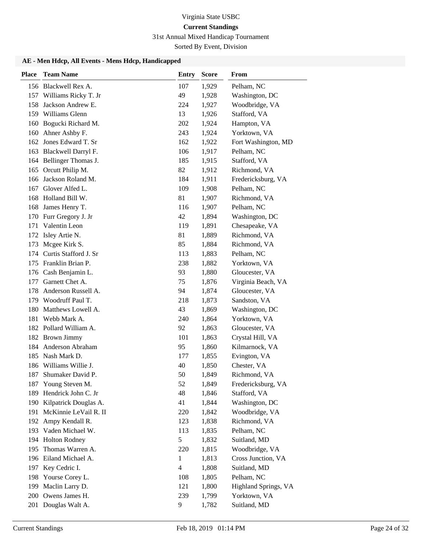# 31st Annual Mixed Handicap Tournament

Sorted By Event, Division

| <b>Place</b> | <b>Team Name</b>          | <b>Entry</b>   | <b>Score</b> | From                 |
|--------------|---------------------------|----------------|--------------|----------------------|
|              | 156 Blackwell Rex A.      | 107            | 1,929        | Pelham, NC           |
|              | 157 Williams Ricky T. Jr  | 49             | 1,928        | Washington, DC       |
|              | 158 Jackson Andrew E.     | 224            | 1,927        | Woodbridge, VA       |
|              | 159 Williams Glenn        | 13             | 1,926        | Stafford, VA         |
|              | 160 Bogucki Richard M.    | 202            | 1,924        | Hampton, VA          |
|              | 160 Ahner Ashby F.        | 243            | 1,924        | Yorktown, VA         |
|              | 162 Jones Edward T. Sr    | 162            | 1,922        | Fort Washington, MD  |
|              | 163 Blackwell Darryl F.   | 106            | 1,917        | Pelham, NC           |
|              | 164 Bellinger Thomas J.   | 185            | 1,915        | Stafford, VA         |
| 165          | Orcutt Philip M.          | 82             | 1,912        | Richmond, VA         |
|              | 166 Jackson Roland M.     | 184            | 1,911        | Fredericksburg, VA   |
| 167          | Glover Alfed L.           | 109            | 1,908        | Pelham, NC           |
|              | 168 Holland Bill W.       | 81             | 1,907        | Richmond, VA         |
| 168          | James Henry T.            | 116            | 1,907        | Pelham, NC           |
|              | 170 Furr Gregory J. Jr    | 42             | 1,894        | Washington, DC       |
| 171          | Valentin Leon             | 119            | 1,891        | Chesapeake, VA       |
| 172          | Isley Artie N.            | 81             | 1,889        | Richmond, VA         |
| 173          | Mcgee Kirk S.             | 85             | 1,884        | Richmond, VA         |
|              | 174 Curtis Stafford J. Sr | 113            | 1,883        | Pelham, NC           |
| 175          | Franklin Brian P.         | 238            | 1,882        | Yorktown, VA         |
|              | 176 Cash Benjamin L.      | 93             | 1,880        | Gloucester, VA       |
| 177          | Garnett Chet A.           | 75             | 1,876        | Virginia Beach, VA   |
| 178          | Anderson Russell A.       | 94             | 1,874        | Gloucester, VA       |
|              | 179 Woodruff Paul T.      | 218            | 1,873        | Sandston, VA         |
|              | 180 Matthews Lowell A.    | 43             | 1,869        | Washington, DC       |
| 181          | Webb Mark A.              | 240            | 1,864        | Yorktown, VA         |
|              | 182 Pollard William A.    | 92             | 1,863        | Gloucester, VA       |
|              | 182 Brown Jimmy           | 101            | 1,863        | Crystal Hill, VA     |
| 184          | Anderson Abraham          | 95             | 1,860        | Kilmarnock, VA       |
|              | 185 Nash Mark D.          | 177            | 1,855        | Evington, VA         |
|              | 186 Williams Willie J.    | 40             | 1,850        | Chester, VA          |
| 187          | Shumaker David P.         | 50             | 1,849        | Richmond, VA         |
|              | 187 Young Steven M.       | 52             | 1,849        | Fredericksburg, VA   |
| 189          | Hendrick John C. Jr       | 48             | 1,846        | Stafford, VA         |
|              | 190 Kilpatrick Douglas A. | 41             | 1,844        | Washington, DC       |
|              | 191 McKinnie LeVail R. II | 220            | 1,842        | Woodbridge, VA       |
| 192          | Ampy Kendall R.           | 123            | 1,838        | Richmond, VA         |
| 193          | Vaden Michael W.          | 113            | 1,835        | Pelham, NC           |
| 194          | <b>Holton Rodney</b>      | 5              | 1,832        | Suitland, MD         |
| 195          | Thomas Warren A.          | 220            | 1,815        | Woodbridge, VA       |
|              | 196 Eiland Michael A.     | 1              | 1,813        | Cross Junction, VA   |
| 197          | Key Cedric I.             | $\overline{4}$ | 1,808        | Suitland, MD         |
| 198          | Yourse Corey L.           | 108            | 1,805        | Pelham, NC           |
| 199          | Maclin Larry D.           | 121            | 1,800        | Highland Springs, VA |
| 200          | Owens James H.            | 239            | 1,799        | Yorktown, VA         |
|              | 201 Douglas Walt A.       | 9              | 1,782        | Suitland, MD         |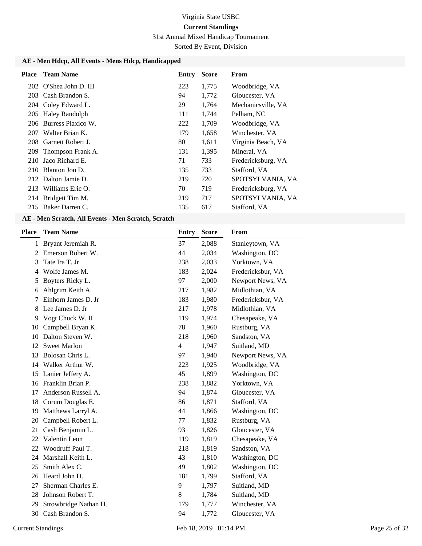#### 31st Annual Mixed Handicap Tournament

Sorted By Event, Division

#### **AE - Men Hdcp, All Events - Mens Hdcp, Handicapped**

|     | <b>Place</b> Team Name | Entry | <b>Score</b> | From               |
|-----|------------------------|-------|--------------|--------------------|
|     | 202 O'Shea John D. III | 223   | 1,775        | Woodbridge, VA     |
| 203 | Cash Brandon S.        | 94    | 1,772        | Gloucester, VA     |
|     | 204 Coley Edward L.    | 29    | 1,764        | Mechanicsville, VA |
|     | 205 Haley Randolph     | 111   | 1,744        | Pelham, NC         |
|     | 206 Burress Plaxico W. | 222   | 1,709        | Woodbridge, VA     |
| 207 | Walter Brian K.        | 179   | 1,658        | Winchester, VA     |
| 208 | Garnett Robert J.      | 80    | 1,611        | Virginia Beach, VA |
| 209 | Thompson Frank A.      | 131   | 1,395        | Mineral, VA        |
| 210 | Jaco Richard E.        | 71    | 733          | Fredericksburg, VA |
| 210 | Blanton Jon D.         | 135   | 733          | Stafford, VA       |
|     | 212 Dalton Jamie D.    | 219   | 720          | SPOTSYLVANIA, VA   |
| 213 | Williams Eric O.       | 70    | 719          | Fredericksburg, VA |
|     | 214 Bridgett Tim M.    | 219   | 717          | SPOTSYLVANIA, VA   |
|     | 215 Baker Darren C.    | 135   | 617          | Stafford, VA       |

#### **AE - Men Scratch, All Events - Men Scratch, Scratch**

| <b>Team Name</b>      | <b>Entry</b>  | <b>Score</b> | <b>From</b>       |
|-----------------------|---------------|--------------|-------------------|
| Bryant Jeremiah R.    | 37            | 2,088        | Stanleytown, VA   |
| Emerson Robert W.     | 44            | 2,034        | Washington, DC    |
| Tate Ira T. Jr        | 238           | 2,033        | Yorktown, VA      |
| Wolfe James M.        | 183           | 2,024        | Fredericksbur, VA |
| Boyters Ricky L.      | 97            | 2,000        | Newport News, VA  |
| Ahlgrim Keith A.      | 217           | 1,982        | Midlothian, VA    |
| Einhorn James D. Jr   | 183           | 1,980        | Fredericksbur, VA |
| Lee James D. Jr       | 217           | 1,978        | Midlothian, VA    |
| Vogt Chuck W. II      | 119           | 1,974        | Chesapeake, VA    |
| Campbell Bryan K.     | 78            | 1,960        | Rustburg, VA      |
| Dalton Steven W.      | 218           | 1,960        | Sandston, VA      |
| <b>Sweet Marlon</b>   | 4             | 1,947        | Suitland, MD      |
| Bolosan Chris L.      | 97            | 1,940        | Newport News, VA  |
| Walker Arthur W.      | 223           | 1,925        | Woodbridge, VA    |
| Lanier Jeffery A.     | 45            | 1,899        | Washington, DC    |
| Franklin Brian P.     | 238           | 1,882        | Yorktown, VA      |
| Anderson Russell A.   | 94            | 1,874        | Gloucester, VA    |
| Corum Douglas E.      | 86            | 1,871        | Stafford, VA      |
| Matthews Larryl A.    | 44            | 1,866        | Washington, DC    |
| Campbell Robert L.    | 77            | 1,832        | Rustburg, VA      |
| Cash Benjamin L.      | 93            | 1,826        | Gloucester, VA    |
| Valentin Leon         | 119           | 1,819        | Chesapeake, VA    |
| Woodruff Paul T.      | 218           | 1,819        | Sandston, VA      |
| Marshall Keith L.     | 43            | 1,810        | Washington, DC    |
| Smith Alex C.         | 49            | 1,802        | Washington, DC    |
|                       | 181           | 1,799        | Stafford, VA      |
| Sherman Charles E.    | 9             | 1,797        | Suitland, MD      |
| Johnson Robert T.     | 8             | 1,784        | Suitland, MD      |
| Strowbridge Nathan H. | 179           | 1,777        | Winchester, VA    |
| Cash Brandon S.       | 94            | 1,772        | Gloucester, VA    |
|                       | Heard John D. |              |                   |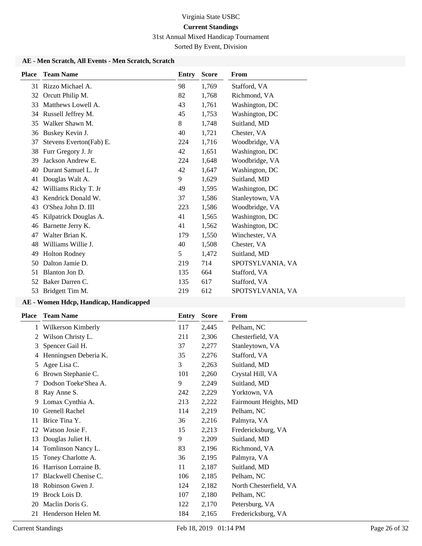31st Annual Mixed Handicap Tournament

Sorted By Event, Division

#### **AE - Men Scratch, All Events - Men Scratch, Scratch**

| <b>Place</b> | <b>Team Name</b>        | Entry | <b>Score</b> | From             |
|--------------|-------------------------|-------|--------------|------------------|
|              | 31 Rizzo Michael A.     | 98    | 1,769        | Stafford, VA     |
| 32           | Orcutt Philip M.        | 82    | 1,768        | Richmond, VA     |
| 33           | Matthews Lowell A.      | 43    | 1,761        | Washington, DC   |
| 34           | Russell Jeffrey M.      | 45    | 1,753        | Washington, DC   |
| 35           | Walker Shawn M.         | 8     | 1,748        | Suitland, MD     |
| 36           | Buskey Kevin J.         | 40    | 1,721        | Chester, VA      |
| 37           | Stevens Everton(Fab) E. | 224   | 1,716        | Woodbridge, VA   |
| 38           | Furr Gregory J. Jr      | 42    | 1,651        | Washington, DC   |
| 39           | Jackson Andrew E.       | 224   | 1,648        | Woodbridge, VA   |
| 40           | Durant Samuel L. Jr     | 42    | 1,647        | Washington, DC   |
| 41           | Douglas Walt A.         | 9     | 1,629        | Suitland, MD     |
| 42           | Williams Ricky T. Jr    | 49    | 1,595        | Washington, DC   |
| 43           | Kendrick Donald W.      | 37    | 1,586        | Stanleytown, VA  |
| 43           | O'Shea John D. III      | 223   | 1,586        | Woodbridge, VA   |
| 45           | Kilpatrick Douglas A.   | 41    | 1,565        | Washington, DC   |
| 46           | Barnette Jerry K.       | 41    | 1,562        | Washington, DC   |
| 47           | Walter Brian K.         | 179   | 1,550        | Winchester, VA   |
| 48           | Williams Willie J.      | 40    | 1,508        | Chester, VA      |
| 49           | <b>Holton Rodney</b>    | 5     | 1,472        | Suitland, MD     |
| 50           | Dalton Jamie D.         | 219   | 714          | SPOTSYLVANIA, VA |
| 51           | Blanton Jon D.          | 135   | 664          | Stafford, VA     |
| 52           | Baker Darren C.         | 135   | 617          | Stafford, VA     |
| 53           | Bridgett Tim M.         | 219   | 612          | SPOTSYLVANIA, VA |

| Place | <b>Team Name</b>      | Entry | <b>Score</b> | From                   |
|-------|-----------------------|-------|--------------|------------------------|
| 1     | Wilkerson Kimberly    | 117   | 2,445        | Pelham, NC             |
| 2     | Wilson Christy L.     | 211   | 2,306        | Chesterfield, VA       |
| 3     | Spencer Gail H.       | 37    | 2,277        | Stanleytown, VA        |
| 4     | Henningsen Deberia K. | 35    | 2,276        | Stafford, VA           |
| 5     | Agee Lisa C.          | 3     | 2,263        | Suitland, MD           |
| 6     | Brown Stephanie C.    | 101   | 2,260        | Crystal Hill, VA       |
| 7     | Dodson Toeke'Shea A.  | 9     | 2,249        | Suitland, MD           |
| 8     | Ray Anne S.           | 242   | 2,229        | Yorktown, VA           |
| 9     | Lomax Cynthia A.      | 213   | 2,222        | Fairmount Heights, MD  |
| 10    | <b>Grenell Rachel</b> | 114   | 2,219        | Pelham, NC             |
| 11    | Brice Tina Y.         | 36    | 2,216        | Palmyra, VA            |
| 12    | Watson Josie F.       | 15    | 2,213        | Fredericksburg, VA     |
| 13    | Douglas Juliet H.     | 9     | 2,209        | Suitland, MD           |
| 14    | Tomlinson Nancy L.    | 83    | 2,196        | Richmond, VA           |
| 15    | Toney Charlotte A.    | 36    | 2,195        | Palmyra, VA            |
| 16    | Harrison Lorraine B.  | 11    | 2,187        | Suitland, MD           |
| 17    | Blackwell Chenise C.  | 106   | 2,185        | Pelham, NC             |
| 18    | Robinson Gwen J.      | 124   | 2,182        | North Chesterfield, VA |
| 19    | Brock Lois D.         | 107   | 2,180        | Pelham, NC             |
| 20    | Maclin Doris G.       | 122   | 2,170        | Petersburg, VA         |
| 21    | Henderson Helen M.    | 184   | 2,165        | Fredericksburg, VA     |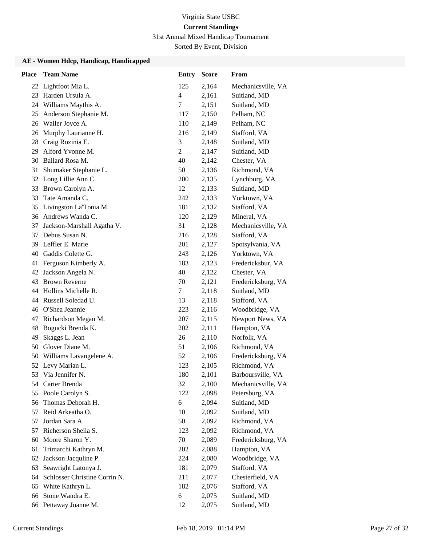31st Annual Mixed Handicap Tournament

Sorted By Event, Division

| <b>Place</b> | <b>Team Name</b>              | <b>Entry</b> | <b>Score</b> | From               |
|--------------|-------------------------------|--------------|--------------|--------------------|
|              | 22 Lightfoot Mia L.           | 125          | 2,164        | Mechanicsville, VA |
| 23           | Harden Ursula A.              | 4            | 2,161        | Suitland, MD       |
| 24           | Williams Maythis A.           | 7            | 2,151        | Suitland, MD       |
| 25           | Anderson Stephanie M.         | 117          | 2,150        | Pelham, NC         |
|              | 26 Waller Joyce A.            | 110          | 2,149        | Pelham, NC         |
| 26           | Murphy Laurianne H.           | 216          | 2,149        | Stafford, VA       |
| 28           | Craig Rozinia E.              | 3            | 2,148        | Suitland, MD       |
| 29           | Alford Yvonne M.              | 2            | 2,147        | Suitland, MD       |
| 30           | Ballard Rosa M.               | 40           | 2,142        | Chester, VA        |
| 31           | Shumaker Stephanie L.         | 50           | 2,136        | Richmond, VA       |
|              | 32 Long Lillie Ann C.         | 200          | 2,135        | Lynchburg, VA      |
| 33           | Brown Carolyn A.              | 12           | 2,133        | Suitland, MD       |
| 33           | Tate Amanda C.                | 242          | 2,133        | Yorktown, VA       |
| 35           | Livingston La'Tonia M.        | 181          | 2,132        | Stafford, VA       |
|              | 36 Andrews Wanda C.           | 120          | 2,129        | Mineral, VA        |
| 37           | Jackson-Marshall Agatha V.    | 31           | 2,128        | Mechanicsville, VA |
| 37           | Debus Susan N.                | 216          | 2,128        | Stafford, VA       |
| 39           | Leffler E. Marie              | 201          | 2,127        | Spotsylvania, VA   |
| 40           | Gaddis Colette G.             | 243          | 2,126        | Yorktown, VA       |
| 41           | Ferguson Kimberly A.          | 183          | 2,123        | Fredericksbur, VA  |
| 42           | Jackson Angela N.             | 40           | 2,122        | Chester, VA        |
| 43           | <b>Brown Reverne</b>          | 70           | 2,121        | Fredericksburg, VA |
| 44           | Hollins Michelle R.           | 7            | 2,118        | Suitland, MD       |
| 44           | Russell Soledad U.            | 13           | 2,118        | Stafford, VA       |
| 46           | O'Shea Jeannie                | 223          | 2,116        | Woodbridge, VA     |
| 47           | Richardson Megan M.           | 207          | 2,115        | Newport News, VA   |
| 48           | Bogucki Brenda K.             | 202          | 2,111        | Hampton, VA        |
| 49           | Skaggs L. Jean                | 26           | 2,110        | Norfolk, VA        |
| 50           | Glover Diane M.               | 51           | 2,106        | Richmond, VA       |
| 50           | Williams Lavangelene A.       | 52           | 2,106        | Fredericksburg, VA |
|              | 52 Levy Marian L.             | 123          | 2,105        | Richmond, VA       |
| 53           | Via Jennifer N.               | 180          | 2,101        | Barboursville, VA  |
| 54           | Carter Brenda                 | 32           | 2,100        | Mechanicsville, VA |
| 55           | Poole Carolyn S.              | 122          | 2,098        | Petersburg, VA     |
| 56           | Thomas Deborah H.             | 6            | 2,094        | Suitland, MD       |
| 57           | Reid Arkeatha O.              | 10           | 2,092        | Suitland, MD       |
| 57           | Jordan Sara A.                | 50           | 2,092        | Richmond, VA       |
| 57           | Richerson Sheila S.           | 123          | 2,092        | Richmond, VA       |
| 60           | Moore Sharon Y.               | 70           | 2,089        | Fredericksburg, VA |
| 61           | Trimarchi Kathryn M.          | 202          | 2,088        | Hampton, VA        |
| 62           | Jackson Jacquline P.          | 224          | 2,080        | Woodbridge, VA     |
| 63           | Seawright Latonya J.          | 181          | 2,079        | Stafford, VA       |
| 64           | Schlosser Christine Corrin N. | 211          | 2,077        | Chesterfield, VA   |
| 65           | White Kathryn L.              | 182          | 2,076        | Stafford, VA       |
| 66           | Stone Wandra E.               | 6            | 2,075        | Suitland, MD       |
|              | 66 Pettaway Joanne M.         | 12           | 2,075        | Suitland, MD       |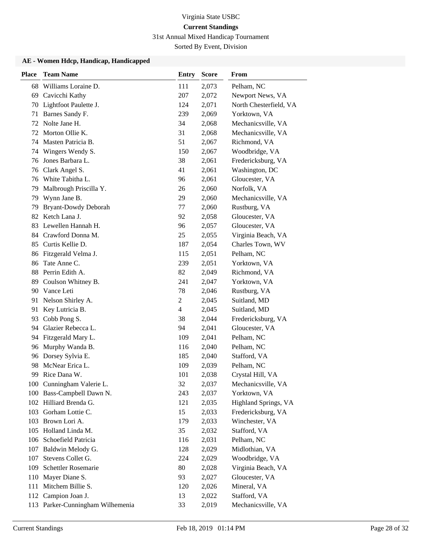31st Annual Mixed Handicap Tournament

Sorted By Event, Division

| <b>Place</b> | <b>Team Name</b>                 | <b>Entry</b>   | <b>Score</b> | From                   |
|--------------|----------------------------------|----------------|--------------|------------------------|
| 68           | Williams Loraine D.              | 111            | 2,073        | Pelham, NC             |
| 69           | Cavicchi Kathy                   | 207            | 2,072        | Newport News, VA       |
| 70           | Lightfoot Paulette J.            | 124            | 2,071        | North Chesterfield, VA |
| 71           | Barnes Sandy F.                  | 239            | 2,069        | Yorktown, VA           |
| 72           | Nolte Jane H.                    | 34             | 2,068        | Mechanicsville, VA     |
| 72           | Morton Ollie K.                  | 31             | 2,068        | Mechanicsville, VA     |
| 74           | Masten Patricia B.               | 51             | 2,067        | Richmond, VA           |
| 74           | Wingers Wendy S.                 | 150            | 2,067        | Woodbridge, VA         |
| 76           | Jones Barbara L.                 | 38             | 2,061        | Fredericksburg, VA     |
| 76           | Clark Angel S.                   | 41             | 2,061        | Washington, DC         |
|              | 76 White Tabitha L.              | 96             | 2,061        | Gloucester, VA         |
| 79           | Malbrough Priscilla Y.           | 26             | 2,060        | Norfolk, VA            |
| 79           | Wynn Jane B.                     | 29             | 2,060        | Mechanicsville, VA     |
| 79           | Bryant-Dowdy Deborah             | 77             | 2,060        | Rustburg, VA           |
| 82           | Ketch Lana J.                    | 92             | 2,058        | Gloucester, VA         |
| 83           | Lewellen Hannah H.               | 96             | 2,057        | Gloucester, VA         |
| 84           | Crawford Donna M.                | 25             | 2,055        | Virginia Beach, VA     |
| 85           | Curtis Kellie D.                 | 187            | 2,054        | Charles Town, WV       |
|              | 86 Fitzgerald Velma J.           | 115            | 2,051        | Pelham, NC             |
| 86           | Tate Anne C.                     | 239            | 2,051        | Yorktown, VA           |
| 88           | Perrin Edith A.                  | 82             | 2,049        | Richmond, VA           |
| 89           | Coulson Whitney B.               | 241            | 2,047        | Yorktown, VA           |
| 90           | Vance Leti                       | 78             | 2,046        | Rustburg, VA           |
| 91           | Nelson Shirley A.                | $\overline{2}$ | 2,045        | Suitland, MD           |
| 91           | Key Lutricia B.                  | $\overline{4}$ | 2,045        | Suitland, MD           |
| 93           | Cobb Pong S.                     | 38             | 2,044        | Fredericksburg, VA     |
|              | 94 Glazier Rebecca L.            | 94             | 2,041        | Gloucester, VA         |
| 94           | Fitzgerald Mary L.               | 109            | 2,041        | Pelham, NC             |
| 96           | Murphy Wanda B.                  | 116            | 2,040        | Pelham, NC             |
| 96           | Dorsey Sylvia E.                 | 185            | 2,040        | Stafford, VA           |
| 98           | McNear Erica L.                  | 109            | 2,039        | Pelham, NC             |
| 99           | Rice Dana W.                     | 101            | 2,038        | Crystal Hill, VA       |
|              | 100 Cunningham Valerie L.        | 32             | 2,037        | Mechanicsville, VA     |
| 100          | Bass-Campbell Dawn N.            | 243            | 2,037        | Yorktown, VA           |
|              | 102 Hilliard Brenda G.           | 121            | 2,035        | Highland Springs, VA   |
|              | 103 Gorham Lottie C.             | 15             | 2,033        | Fredericksburg, VA     |
|              | 103 Brown Lori A.                | 179            | 2,033        | Winchester, VA         |
|              | 105 Holland Linda M.             | 35             | 2,032        | Stafford, VA           |
|              | 106 Schoefield Patricia          | 116            | 2,031        | Pelham, NC             |
| 107          | Baldwin Melody G.                | 128            | 2,029        | Midlothian, VA         |
| 107          | Stevens Collet G.                | 224            | 2,029        | Woodbridge, VA         |
| 109          | <b>Schettler Rosemarie</b>       | 80             | 2,028        | Virginia Beach, VA     |
| 110          | Mayer Diane S.                   | 93             | 2,027        | Gloucester, VA         |
| 111          | Mitchem Billie S.                | 120            | 2,026        | Mineral, VA            |
| 112          | Campion Joan J.                  | 13             | 2,022        | Stafford, VA           |
|              | 113 Parker-Cunningham Wilhemenia | 33             | 2,019        | Mechanicsville, VA     |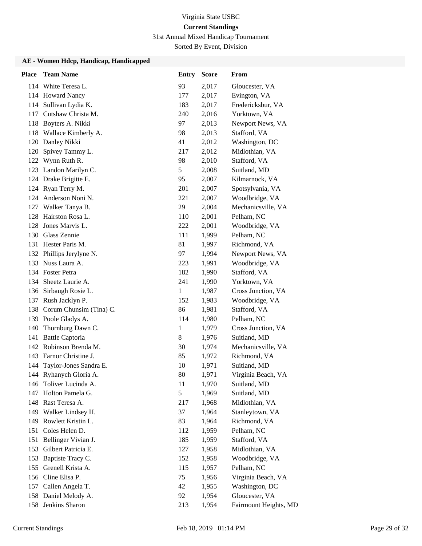31st Annual Mixed Handicap Tournament

Sorted By Event, Division

| <b>Place</b> | <b>Team Name</b>            | <b>Entry</b> | <b>Score</b> | From                  |
|--------------|-----------------------------|--------------|--------------|-----------------------|
|              | 114 White Teresa L.         | 93           | 2,017        | Gloucester, VA        |
|              | 114 Howard Nancy            | 177          | 2,017        | Evington, VA          |
| 114          | Sullivan Lydia K.           | 183          | 2,017        | Fredericksbur, VA     |
| 117          | Cutshaw Christa M.          | 240          | 2,016        | Yorktown, VA          |
|              | 118 Boyters A. Nikki        | 97           | 2,013        | Newport News, VA      |
| 118          | Wallace Kimberly A.         | 98           | 2,013        | Stafford, VA          |
| 120          | Danley Nikki                | 41           | 2,012        | Washington, DC        |
| 120          | Spivey Tammy L.             | 217          | 2,012        | Midlothian, VA        |
| 122          | Wynn Ruth R.                | 98           | 2,010        | Stafford, VA          |
| 123          | Landon Marilyn C.           | 5            | 2,008        | Suitland, MD          |
|              | 124 Drake Brigitte E.       | 95           | 2,007        | Kilmarnock, VA        |
|              | 124 Ryan Terry M.           | 201          | 2,007        | Spotsylvania, VA      |
| 124          | Anderson Noni N.            | 221          | 2,007        | Woodbridge, VA        |
| 127          | Walker Tanya B.             | 29           | 2,004        | Mechanicsville, VA    |
| 128          | Hairston Rosa L.            | 110          | 2,001        | Pelham, NC            |
| 128          | Jones Marvis L.             | 222          | 2,001        | Woodbridge, VA        |
|              | 130 Glass Zennie            | 111          | 1,999        | Pelham, NC            |
|              | 131 Hester Paris M.         | 81           | 1,997        | Richmond, VA          |
|              | 132 Phillips Jerylyne N.    | 97           | 1,994        | Newport News, VA      |
| 133          | Nuss Laura A.               | 223          | 1,991        | Woodbridge, VA        |
|              | 134 Foster Petra            | 182          | 1,990        | Stafford, VA          |
| 134          | Sheetz Laurie A.            | 241          | 1,990        | Yorktown, VA          |
| 136          | Sirbaugh Rosie L.           | $\mathbf{1}$ | 1,987        | Cross Junction, VA    |
| 137          | Rush Jacklyn P.             | 152          | 1,983        | Woodbridge, VA        |
|              | 138 Corum Chunsim (Tina) C. | 86           | 1,981        | Stafford, VA          |
|              | 139 Poole Gladys A.         | 114          | 1,980        | Pelham, NC            |
| 140          | Thornburg Dawn C.           | $\mathbf{1}$ | 1,979        | Cross Junction, VA    |
| 141          | <b>Battle Captoria</b>      | 8            | 1,976        | Suitland, MD          |
|              | 142 Robinson Brenda M.      | 30           | 1,974        | Mechanicsville, VA    |
| 143          | Farnor Christine J.         | 85           | 1,972        | Richmond, VA          |
| 144          | Taylor-Jones Sandra E.      | 10           | 1,971        | Suitland, MD          |
|              | 144 Ryhanych Gloria A.      | 80           | 1,971        | Virginia Beach, VA    |
|              | 146 Toliver Lucinda A.      | 11           | 1,970        | Suitland, MD          |
| 147          | Holton Pamela G.            | 5            | 1,969        | Suitland, MD          |
|              | 148 Rast Teresa A.          | 217          | 1,968        | Midlothian, VA        |
|              | 149 Walker Lindsey H.       | 37           | 1,964        | Stanleytown, VA       |
|              | 149 Rowlett Kristin L.      | 83           | 1,964        | Richmond, VA          |
| 151          | Coles Helen D.              | 112          | 1,959        | Pelham, NC            |
| 151          | Bellinger Vivian J.         | 185          | 1,959        | Stafford, VA          |
| 153          | Gilbert Patricia E.         | 127          | 1,958        | Midlothian, VA        |
| 153          | Baptiste Tracy C.           | 152          | 1,958        | Woodbridge, VA        |
| 155          | Grenell Krista A.           | 115          | 1,957        | Pelham, NC            |
|              | 156 Cline Elisa P.          | 75           | 1,956        | Virginia Beach, VA    |
| 157          | Callen Angela T.            | 42           | 1,955        | Washington, DC        |
|              | 158 Daniel Melody A.        | 92           | 1,954        | Gloucester, VA        |
|              | 158 Jenkins Sharon          | 213          | 1,954        | Fairmount Heights, MD |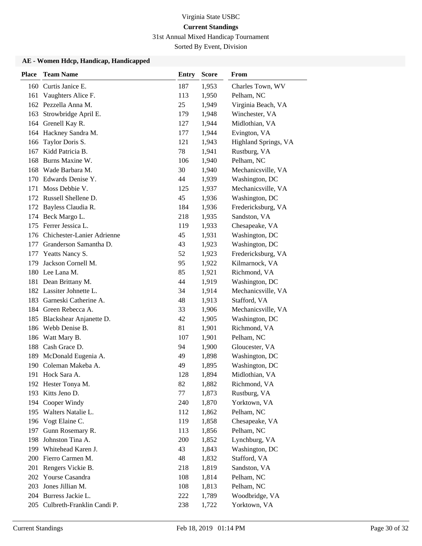31st Annual Mixed Handicap Tournament

Sorted By Event, Division

| <b>Place</b> | <b>Team Name</b>               | <b>Entry</b> | <b>Score</b> | From                 |
|--------------|--------------------------------|--------------|--------------|----------------------|
| 160          | Curtis Janice E.               | 187          | 1,953        | Charles Town, WV     |
| 161          | Vaughters Alice F.             | 113          | 1,950        | Pelham, NC           |
|              | 162 Pezzella Anna M.           | 25           | 1,949        | Virginia Beach, VA   |
| 163          | Strowbridge April E.           | 179          | 1,948        | Winchester, VA       |
|              | 164 Grenell Kay R.             | 127          | 1,944        | Midlothian, VA       |
|              | 164 Hackney Sandra M.          | 177          | 1,944        | Evington, VA         |
| 166          | Taylor Doris S.                | 121          | 1,943        | Highland Springs, VA |
| 167          | Kidd Patricia B.               | 78           | 1,941        | Rustburg, VA         |
| 168          | Burns Maxine W.                | 106          | 1,940        | Pelham, NC           |
| 168          | Wade Barbara M.                | 30           | 1,940        | Mechanicsville, VA   |
| 170          | Edwards Denise Y.              | 44           | 1,939        | Washington, DC       |
| 171          | Moss Debbie V.                 | 125          | 1,937        | Mechanicsville, VA   |
| 172          | Russell Shellene D.            | 45           | 1,936        | Washington, DC       |
|              | 172 Bayless Claudia R.         | 184          | 1,936        | Fredericksburg, VA   |
|              | 174 Beck Margo L.              | 218          | 1,935        | Sandston, VA         |
|              | 175 Ferrer Jessica L.          | 119          | 1,933        | Chesapeake, VA       |
| 176          | Chichester-Lanier Adrienne     | 45           | 1,931        | Washington, DC       |
| 177          | Granderson Samantha D.         | 43           | 1,923        | Washington, DC       |
| 177          | Yeatts Nancy S.                | 52           | 1,923        | Fredericksburg, VA   |
| 179          | Jackson Cornell M.             | 95           | 1,922        | Kilmarnock, VA       |
|              | 180 Lee Lana M.                | 85           | 1,921        | Richmond, VA         |
| 181          | Dean Brittany M.               | 44           | 1,919        | Washington, DC       |
|              | 182 Lassiter Johnette L.       | 34           | 1,914        | Mechanicsville, VA   |
| 183          | Garneski Catherine A.          | 48           | 1,913        | Stafford, VA         |
|              | 184 Green Rebecca A.           | 33           | 1,906        | Mechanicsville, VA   |
| 185          | Blackshear Anjanette D.        | 42           | 1,905        | Washington, DC       |
| 186          | Webb Denise B.                 | 81           | 1,901        | Richmond, VA         |
| 186          | Watt Mary B.                   | 107          | 1,901        | Pelham, NC           |
| 188          | Cash Grace D.                  | 94           | 1,900        | Gloucester, VA       |
| 189          | McDonald Eugenia A.            | 49           | 1,898        | Washington, DC       |
| 190          | Coleman Makeba A.              | 49           | 1,895        | Washington, DC       |
|              | 191 Hock Sara A.               | 128          | 1,894        | Midlothian, VA       |
|              | 192 Hester Tonya M.            | 82           | 1,882        | Richmond, VA         |
|              | 193 Kitts Jeno D.              | 77           | 1,873        | Rustburg, VA         |
|              | 194 Cooper Windy               | 240          | 1,870        | Yorktown, VA         |
|              | 195 Walters Natalie L.         | 112          | 1,862        | Pelham, NC           |
|              | 196 Vogt Elaine C.             | 119          | 1,858        | Chesapeake, VA       |
| 197          | Gunn Rosemary R.               | 113          | 1,856        | Pelham, NC           |
| 198          | Johnston Tina A.               | 200          | 1,852        | Lynchburg, VA        |
|              | 199 Whitehead Karen J.         | 43           | 1,843        | Washington, DC       |
| 200          | Fierro Carmen M.               | 48           | 1,832        | Stafford, VA         |
| 201          | Rengers Vickie B.              | 218          | 1,819        | Sandston, VA         |
| 202          | Yourse Casandra                | 108          | 1,814        | Pelham, NC           |
| 203          | Jones Jillian M.               | 108          | 1,813        | Pelham, NC           |
|              | 204 Burress Jackie L.          | 222          | 1,789        | Woodbridge, VA       |
|              | 205 Culbreth-Franklin Candi P. | 238          | 1,722        | Yorktown, VA         |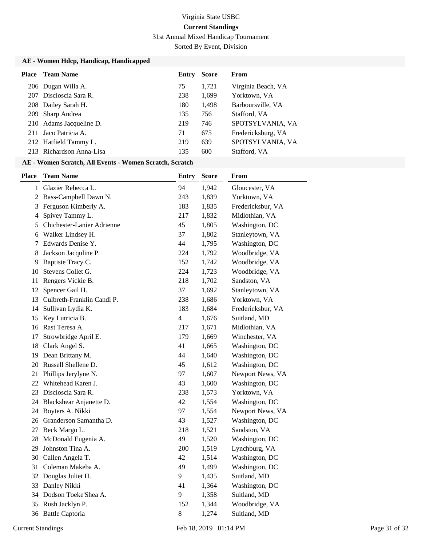31st Annual Mixed Handicap Tournament

Sorted By Event, Division

#### **AE - Women Hdcp, Handicap, Handicapped**

|     | <b>Place</b> Team Name   | Entry | Score | From               |
|-----|--------------------------|-------|-------|--------------------|
|     | 206 Dugan Willa A.       | 75    | 1,721 | Virginia Beach, VA |
| 207 | Discioscia Sara R.       | 238   | 1,699 | Yorktown, VA       |
|     | 208 Dailey Sarah H.      | 180   | 1.498 | Barboursville, VA  |
|     | 209 Sharp Andrea         | 135   | 756   | Stafford, VA       |
|     | 210 Adams Jacqueline D.  | 219   | 746   | SPOTSYLVANIA, VA   |
|     | 211 Jaco Patricia A.     | 71    | 675   | Fredericksburg, VA |
|     | 212 Hatfield Tammy L.    | 219   | 639   | SPOTSYLVANIA, VA   |
|     | 213 Richardson Anna-Lisa | 135   | 600   | Stafford, VA       |

### **AE - Women Scratch, All Events - Women Scratch, Scratch**

| <b>Place</b>   | <b>Team Name</b>           | <b>Entry</b>   | <b>Score</b> | From              |
|----------------|----------------------------|----------------|--------------|-------------------|
| $\mathbf{1}$   | Glazier Rebecca L.         | 94             | 1,942        | Gloucester, VA    |
| $\overline{2}$ | Bass-Campbell Dawn N.      | 243            | 1,839        | Yorktown, VA      |
| 3              | Ferguson Kimberly A.       | 183            | 1,835        | Fredericksbur, VA |
| 4              | Spivey Tammy L.            | 217            | 1,832        | Midlothian, VA    |
| 5              | Chichester-Lanier Adrienne | 45             | 1,805        | Washington, DC    |
| 6              | Walker Lindsey H.          | 37             | 1,802        | Stanleytown, VA   |
| 7              | Edwards Denise Y.          | 44             | 1,795        | Washington, DC    |
| 8              | Jackson Jacquline P.       | 224            | 1,792        | Woodbridge, VA    |
| 9              | Baptiste Tracy C.          | 152            | 1,742        | Woodbridge, VA    |
| 10             | Stevens Collet G.          | 224            | 1,723        | Woodbridge, VA    |
| 11             | Rengers Vickie B.          | 218            | 1,702        | Sandston, VA      |
| 12             | Spencer Gail H.            | 37             | 1,692        | Stanleytown, VA   |
| 13             | Culbreth-Franklin Candi P. | 238            | 1,686        | Yorktown, VA      |
| 14             | Sullivan Lydia K.          | 183            | 1,684        | Fredericksbur, VA |
| 15             | Key Lutricia B.            | $\overline{4}$ | 1,676        | Suitland, MD      |
| 16             | Rast Teresa A.             | 217            | 1,671        | Midlothian, VA    |
| 17             | Strowbridge April E.       | 179            | 1,669        | Winchester, VA    |
| 18             | Clark Angel S.             | 41             | 1,665        | Washington, DC    |
|                | 19 Dean Brittany M.        | 44             | 1,640        | Washington, DC    |
|                | 20 Russell Shellene D.     | 45             | 1,612        | Washington, DC    |
| 21             | Phillips Jerylyne N.       | 97             | 1,607        | Newport News, VA  |
|                | 22 Whitehead Karen J.      | 43             | 1,600        | Washington, DC    |
| 23             | Discioscia Sara R.         | 238            | 1,573        | Yorktown, VA      |
|                | 24 Blackshear Anjanette D. | 42             | 1,554        | Washington, DC    |
|                | 24 Boyters A. Nikki        | 97             | 1,554        | Newport News, VA  |
|                | 26 Granderson Samantha D.  | 43             | 1,527        | Washington, DC    |
| 27             | Beck Margo L.              | 218            | 1,521        | Sandston, VA      |
| 28             | McDonald Eugenia A.        | 49             | 1,520        | Washington, DC    |
| 29             | Johnston Tina A.           | 200            | 1,519        | Lynchburg, VA     |
|                | 30 Callen Angela T.        | 42             | 1,514        | Washington, DC    |
| 31             | Coleman Makeba A.          | 49             | 1,499        | Washington, DC    |
| 32             | Douglas Juliet H.          | 9              | 1,435        | Suitland, MD      |
| 33             | Danley Nikki               | 41             | 1,364        | Washington, DC    |
|                | 34 Dodson Toeke'Shea A.    | 9              | 1,358        | Suitland, MD      |
| 35             | Rush Jacklyn P.            | 152            | 1,344        | Woodbridge, VA    |
|                | 36 Battle Captoria         | 8              | 1,274        | Suitland, MD      |